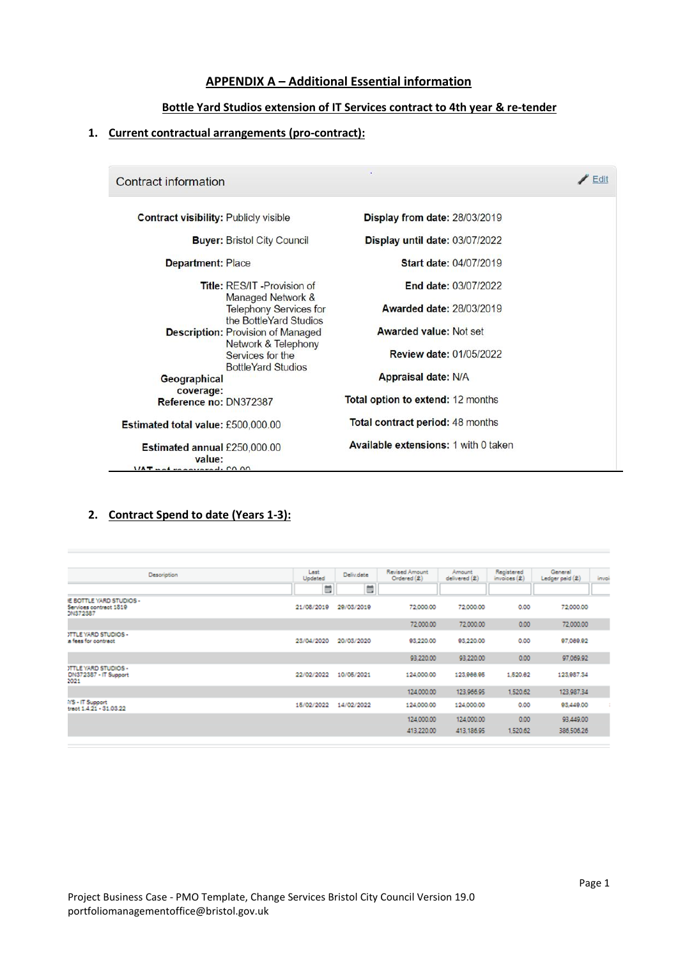#### **APPENDIX A – Additional Essential information**

#### **Bottle Yard Studios extension of IT Services contract to 4th year & re-tender**

#### **1. Current contractual arrangements (pro-contract):**

| Contract information                                            | $\sim$                                      |
|-----------------------------------------------------------------|---------------------------------------------|
| <b>Contract visibility: Publicly visible</b>                    | Display from date: 28/03/2019               |
| <b>Buyer: Bristol City Council</b>                              | Display until date: 03/07/2022              |
| <b>Department: Place</b>                                        | <b>Start date: 04/07/2019</b>               |
| <b>Title: RES/IT - Provision of</b><br>Managed Network &        | <b>End date: 03/07/2022</b>                 |
| <b>Telephony Services for</b><br>the BottleYard Studios         | <b>Awarded date: 28/03/2019</b>             |
| <b>Description: Provision of Managed</b><br>Network & Telephony | <b>Awarded value: Not set</b>               |
| Services for the<br><b>BottleYard Studios</b>                   | <b>Review date: 01/05/2022</b>              |
| Geographical                                                    | <b>Appraisal date: N/A</b>                  |
| coverage:<br>Reference no: DN372387                             | <b>Total option to extend: 12 months</b>    |
| <b>Estimated total value: £500,000.00</b>                       | Total contract period: 48 months            |
| <b>Estimated annual £250,000.00</b><br>value:                   | <b>Available extensions: 1 with 0 taken</b> |
|                                                                 |                                             |

#### **2. Contract Spend to date (Years 1-3):**

|                                                                | Description | Lest                      | Deliv.date | Revised Amount<br>Ordered(2) | Amount<br>delivered(2) | Registered<br>invoices $(2)$ | General              |        |
|----------------------------------------------------------------|-------------|---------------------------|------------|------------------------------|------------------------|------------------------------|----------------------|--------|
|                                                                |             | Updated<br>$\blacksquare$ | m          |                              |                        |                              | $L$ edger paid $(2)$ | invoir |
| IE BOTTLE YARD STUDIOS -<br>Services contract 1819<br>DN372387 |             | 21/08/2019                | 29/03/2019 | 72,000.00                    | 72,000.00              | 0.00                         | 72,000.00            |        |
|                                                                |             |                           |            | 72,000.00                    | 72,000.00              | 0.00                         | 72,000.00            |        |
| <b>ITTLE YARD STUDIOS -</b><br>a fees for contract             |             | 23/04/2020                | 20/03/2020 | 93,220.00                    | 93,220.00              | 0.00                         | 97,069.92            |        |
|                                                                |             |                           |            | 93.220.00                    | 93,220.00              | 0.00                         | 97.069.92            |        |
| <b>ITTLE YARD STUDIOS -</b><br>DN372387 - IT Support<br>2021   |             | 22/02/2022                | 10/05/2021 | 124,000.00                   | 123,966.95             | 1,520.62                     | 123,987.34           |        |
|                                                                |             |                           |            | 124,000.00                   | 123.966.95             | 1,520.62                     | 123.987.34           |        |
| <b>NS - IT Support</b><br>treet 1.4.21 - 31.03.22              |             | 18/02/2022                | 14/02/2022 | 124,000.00                   | 124,000.00             | 0.00                         | 93,449.00            |        |
|                                                                |             |                           |            | 124,000.00                   | 124,000.00             | 0.00                         | 93,449.00            |        |
|                                                                |             |                           |            | 413.220.00                   | 413,186.95             | 1,520.62                     | 386,506.26           |        |
|                                                                |             |                           |            |                              |                        |                              |                      |        |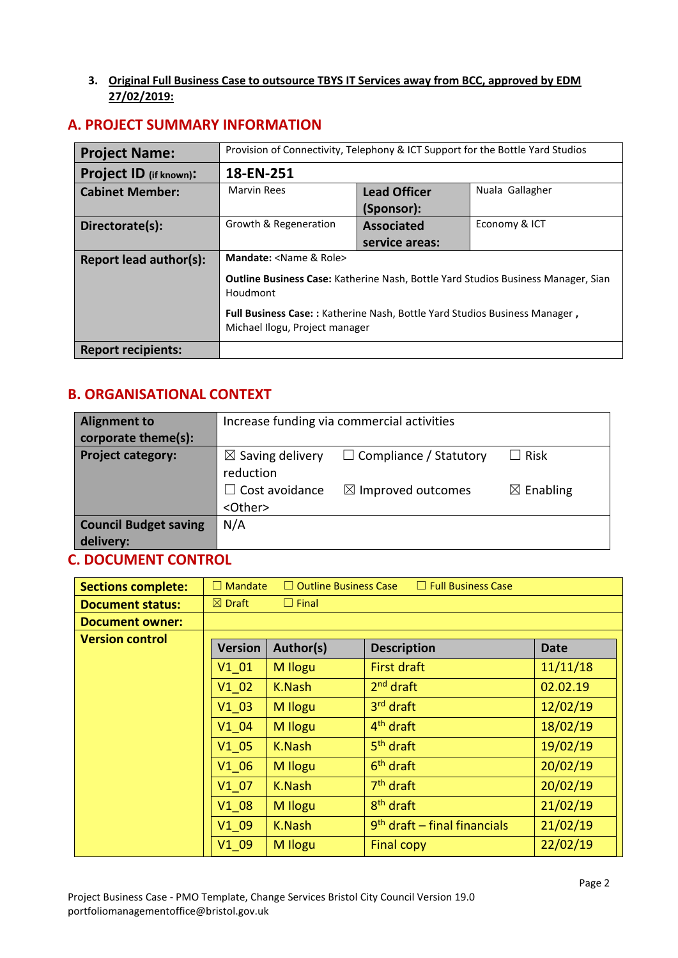**3. Original Full Business Case to outsource TBYS IT Services away from BCC, approved by EDM 27/02/2019:**

### **A. PROJECT SUMMARY INFORMATION**

| <b>Project Name:</b>          | Provision of Connectivity, Telephony & ICT Support for the Bottle Yard Studios                                |                                        |               |  |
|-------------------------------|---------------------------------------------------------------------------------------------------------------|----------------------------------------|---------------|--|
| <b>Project ID</b> (if known): | 18-EN-251                                                                                                     |                                        |               |  |
| <b>Cabinet Member:</b>        | <b>Marvin Rees</b>                                                                                            | Nuala Gallagher<br><b>Lead Officer</b> |               |  |
|                               |                                                                                                               | (Sponsor):                             |               |  |
| Directorate(s):               | Growth & Regeneration                                                                                         | <b>Associated</b>                      | Economy & ICT |  |
|                               |                                                                                                               | service areas:                         |               |  |
| <b>Report lead author(s):</b> | Mandate: <name &="" role=""></name>                                                                           |                                        |               |  |
|                               | <b>Outline Business Case: Katherine Nash, Bottle Yard Studios Business Manager, Sian</b><br>Houdmont          |                                        |               |  |
|                               | Full Business Case: : Katherine Nash, Bottle Yard Studios Business Manager,<br>Michael Ilogu, Project manager |                                        |               |  |
| <b>Report recipients:</b>     |                                                                                                               |                                        |               |  |

### **B. ORGANISATIONAL CONTEXT**

| <b>Alignment to</b>          | Increase funding via commercial activities |                               |                      |
|------------------------------|--------------------------------------------|-------------------------------|----------------------|
| corporate theme(s):          |                                            |                               |                      |
| <b>Project category:</b>     | $\boxtimes$ Saving delivery                | $\Box$ Compliance / Statutory | $\Box$ Risk          |
|                              | reduction                                  |                               |                      |
|                              | $\Box$ Cost avoidance                      | $\boxtimes$ Improved outcomes | $\boxtimes$ Enabling |
|                              | <other></other>                            |                               |                      |
| <b>Council Budget saving</b> | N/A                                        |                               |                      |
| delivery:                    |                                            |                               |                      |

#### **C. DOCUMENT CONTROL**

| <b>Sections complete:</b> | <b>Mandate</b>    | $\Box$ Outline Business Case | $\Box$ Full Business Case      |          |
|---------------------------|-------------------|------------------------------|--------------------------------|----------|
| <b>Document status:</b>   | $\boxtimes$ Draft | $\Box$ Final                 |                                |          |
| <b>Document owner:</b>    |                   |                              |                                |          |
| <b>Version control</b>    | <b>Version</b>    | Author(s)                    | <b>Description</b>             | Date     |
|                           | V1 01             | M Ilogu                      | First draft                    | 11/11/18 |
|                           | V1 02             | K.Nash                       | $2nd$ draft                    | 02.02.19 |
|                           | V1 03             | M Ilogu                      | 3rd draft                      | 12/02/19 |
|                           | V1 04             | M Ilogu                      | 4 <sup>th</sup> draft          | 18/02/19 |
|                           | V1 05             | K.Nash                       | 5 <sup>th</sup> draft          | 19/02/19 |
|                           | V1 06             | M Ilogu                      | 6 <sup>th</sup> draft          | 20/02/19 |
|                           | V1 07             | K.Nash                       | 7 <sup>th</sup> draft          | 20/02/19 |
|                           | V1 08             | M Ilogu                      | 8 <sup>th</sup> draft          | 21/02/19 |
|                           | V1 09             | K.Nash                       | $9th$ draft – final financials | 21/02/19 |
|                           | V1 09             | M Ilogu                      | <b>Final copy</b>              | 22/02/19 |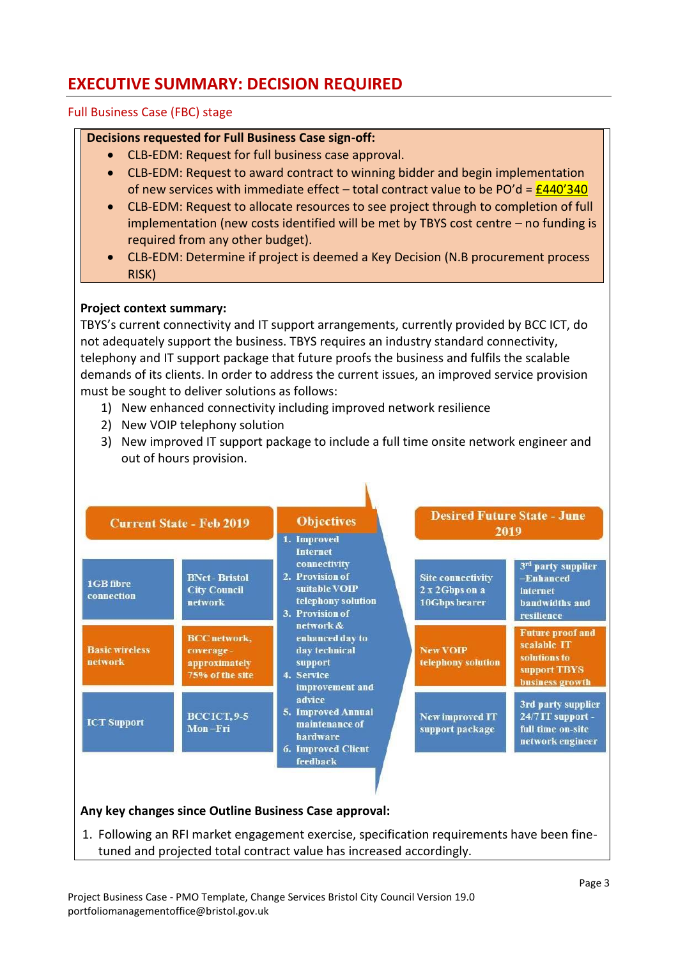# **EXECUTIVE SUMMARY: DECISION REQUIRED**

#### Full Business Case (FBC) stage

#### **Decisions requested for Full Business Case sign-off:**

- CLB-EDM: Request for full business case approval.
- CLB-EDM: Request to award contract to winning bidder and begin implementation of new services with immediate effect – total contract value to be PO'd =  $£440'340$
- CLB-EDM: Request to allocate resources to see project through to completion of full implementation (new costs identified will be met by TBYS cost centre – no funding is required from any other budget).
- CLB-EDM: Determine if project is deemed a Key Decision (N.B procurement process RISK)

#### **Project context summary:**

TBYS's current connectivity and IT support arrangements, currently provided by BCC ICT, do not adequately support the business. TBYS requires an industry standard connectivity, telephony and IT support package that future proofs the business and fulfils the scalable demands of its clients. In order to address the current issues, an improved service provision must be sought to deliver solutions as follows:

- 1) New enhanced connectivity including improved network resilience
- 2) New VOIP telephony solution
- 3) New improved IT support package to include a full time onsite network engineer and out of hours provision.



1. Following an RFI market engagement exercise, specification requirements have been finetuned and projected total contract value has increased accordingly.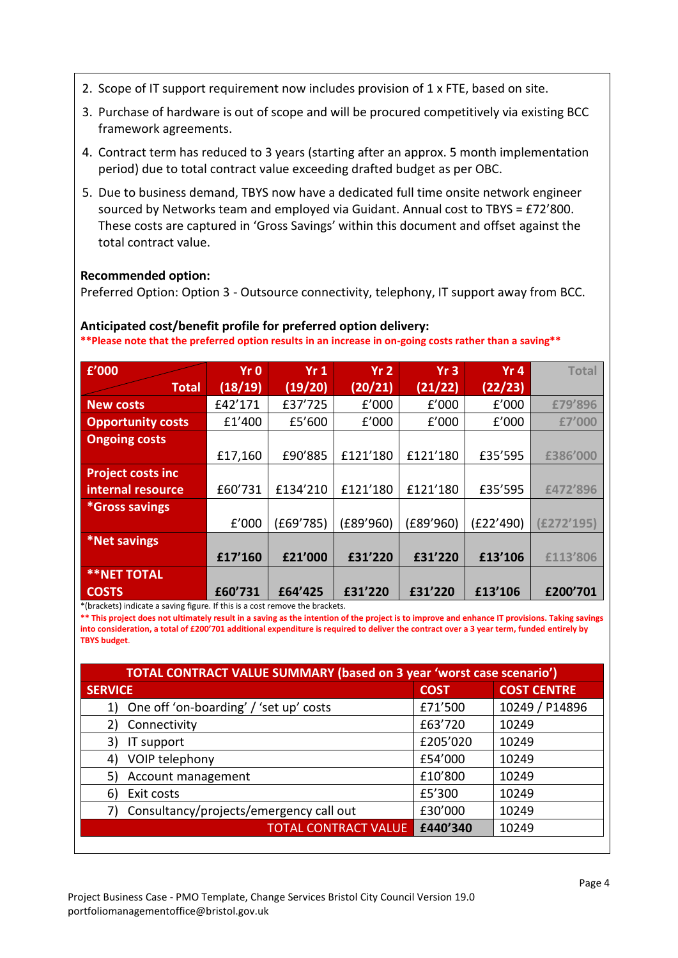- 2. Scope of IT support requirement now includes provision of 1 x FTE, based on site.
- 3. Purchase of hardware is out of scope and will be procured competitively via existing BCC framework agreements.
- 4. Contract term has reduced to 3 years (starting after an approx. 5 month implementation period) due to total contract value exceeding drafted budget as per OBC.
- 5. Due to business demand, TBYS now have a dedicated full time onsite network engineer sourced by Networks team and employed via Guidant. Annual cost to TBYS = £72'800. These costs are captured in 'Gross Savings' within this document and offset against the total contract value.

#### **Recommended option:**

Preferred Option: Option 3 - Outsource connectivity, telephony, IT support away from BCC.

#### **Anticipated cost/benefit profile for preferred option delivery:**

**\*\*Please note that the preferred option results in an increase in on-going costs rather than a saving\*\***

| £'000                        | Yr 0    | Yr1       | Yr <sub>2</sub> | Yr <sub>3</sub> | Yr4       | <b>Total</b> |
|------------------------------|---------|-----------|-----------------|-----------------|-----------|--------------|
| <b>Total</b>                 | (18/19) | (19/20)   | (20/21)         | (21/22)         | (22/23)   |              |
| <b>New costs</b>             | £42'171 | £37'725   | f'000           | f'000           | f'000     | £79'896      |
| <b>Opportunity costs</b>     | £1'400  | £5'600    | f'000           | f'000           | f'000     | £7'000       |
| <b>Ongoing costs</b>         |         |           |                 |                 |           |              |
|                              | £17,160 | £90'885   | £121'180        | £121'180        | £35'595   | £386'000     |
| <b>Project costs inc</b>     |         |           |                 |                 |           |              |
| internal resource            | £60'731 | £134'210  | £121'180        | £121'180        | £35'595   | £472'896     |
| <i><b>*Gross savings</b></i> |         |           |                 |                 |           |              |
|                              | E'000   | (E69'785) | (E89'960)       | (E89'960)       | (£22'490) | £272'195)    |
| <i><b>*Net savings</b></i>   |         |           |                 |                 |           |              |
|                              | £17'160 | £21'000   | £31'220         | £31'220         | £13'106   | £113'806     |
| <b>**NET TOTAL</b>           |         |           |                 |                 |           |              |
| <b>COSTS</b>                 | £60'731 | £64'425   | £31'220         | £31'220         | £13'106   | £200'701     |

\*(brackets) indicate a saving figure. If this is a cost remove the brackets.

**\*\* This project does not ultimately result in a saving as the intention of the project is to improve and enhance IT provisions. Taking savings into consideration, a total of £200'701 additional expenditure is required to deliver the contract over a 3 year term, funded entirely by TBYS budget**.

| TOTAL CONTRACT VALUE SUMMARY (based on 3 year 'worst case scenario') |                    |  |  |
|----------------------------------------------------------------------|--------------------|--|--|
| <b>COST</b>                                                          | <b>COST CENTRE</b> |  |  |
| £71'500                                                              | 10249 / P14896     |  |  |
| £63'720                                                              | 10249              |  |  |
| £205'020                                                             | 10249              |  |  |
| £54'000                                                              | 10249              |  |  |
| £10'800                                                              | 10249              |  |  |
| £5'300                                                               | 10249              |  |  |
| £30'000                                                              | 10249              |  |  |
| £440'340                                                             | 10249              |  |  |
|                                                                      |                    |  |  |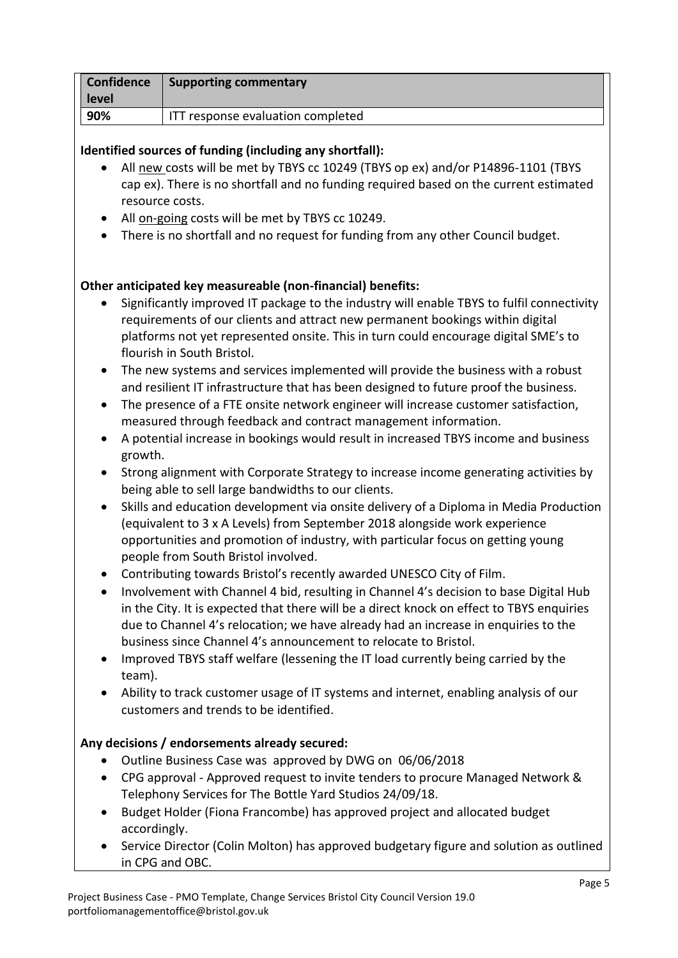| <b>Confidence</b><br>level | <b>Supporting commentary</b>      |
|----------------------------|-----------------------------------|
| 90%                        | ITT response evaluation completed |

#### **Identified sources of funding (including any shortfall):**

- All new costs will be met by TBYS cc 10249 (TBYS op ex) and/or P14896-1101 (TBYS cap ex). There is no shortfall and no funding required based on the current estimated resource costs.
- All on-going costs will be met by TBYS cc 10249.
- There is no shortfall and no request for funding from any other Council budget.

#### **Other anticipated key measureable (non-financial) benefits:**

- Significantly improved IT package to the industry will enable TBYS to fulfil connectivity requirements of our clients and attract new permanent bookings within digital platforms not yet represented onsite. This in turn could encourage digital SME's to flourish in South Bristol.
- The new systems and services implemented will provide the business with a robust and resilient IT infrastructure that has been designed to future proof the business.
- The presence of a FTE onsite network engineer will increase customer satisfaction, measured through feedback and contract management information.
- A potential increase in bookings would result in increased TBYS income and business growth.
- Strong alignment with Corporate Strategy to increase income generating activities by being able to sell large bandwidths to our clients.
- Skills and education development via onsite delivery of a Diploma in Media Production (equivalent to 3 x A Levels) from September 2018 alongside work experience opportunities and promotion of industry, with particular focus on getting young people from South Bristol involved.
- Contributing towards Bristol's recently awarded UNESCO City of Film.
- Involvement with Channel 4 bid, resulting in Channel 4's decision to base Digital Hub in the City. It is expected that there will be a direct knock on effect to TBYS enquiries due to Channel 4's relocation; we have already had an increase in enquiries to the business since Channel 4's announcement to relocate to Bristol.
- Improved TBYS staff welfare (lessening the IT load currently being carried by the team).
- Ability to track customer usage of IT systems and internet, enabling analysis of our customers and trends to be identified.

#### **Any decisions / endorsements already secured:**

- Outline Business Case was approved by DWG on 06/06/2018
- CPG approval Approved request to invite tenders to procure Managed Network & Telephony Services for The Bottle Yard Studios 24/09/18.
- Budget Holder (Fiona Francombe) has approved project and allocated budget accordingly.
- Service Director (Colin Molton) has approved budgetary figure and solution as outlined in CPG and OBC.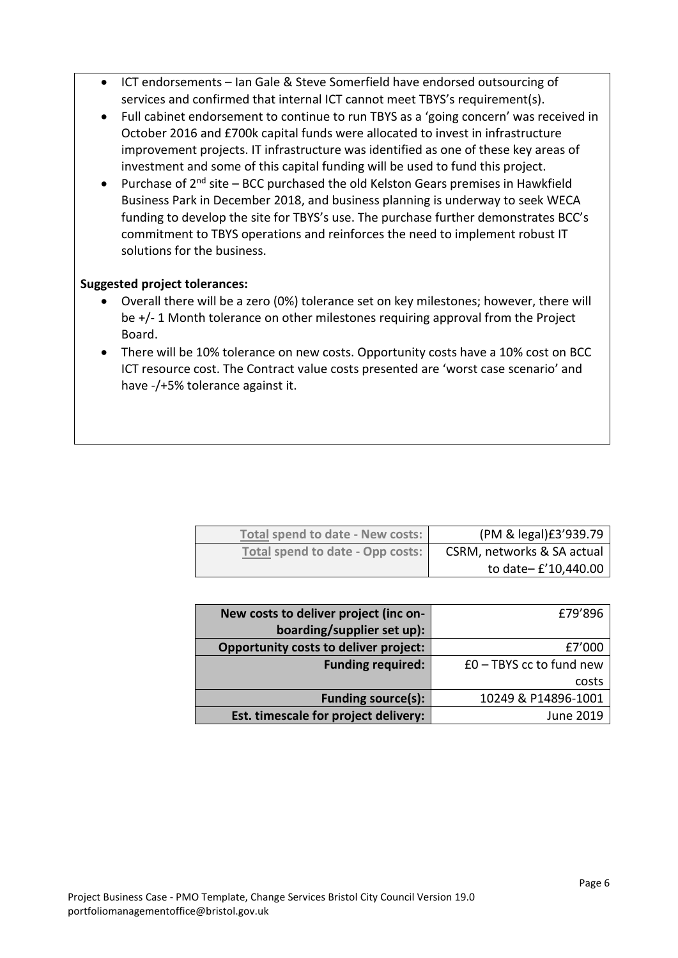- ICT endorsements Ian Gale & Steve Somerfield have endorsed outsourcing of services and confirmed that internal ICT cannot meet TBYS's requirement(s).
- Full cabinet endorsement to continue to run TBYS as a 'going concern' was received in October 2016 and £700k capital funds were allocated to invest in infrastructure improvement projects. IT infrastructure was identified as one of these key areas of investment and some of this capital funding will be used to fund this project.
- Purchase of  $2^{nd}$  site BCC purchased the old Kelston Gears premises in Hawkfield Business Park in December 2018, and business planning is underway to seek WECA funding to develop the site for TBYS's use. The purchase further demonstrates BCC's commitment to TBYS operations and reinforces the need to implement robust IT solutions for the business.

#### **Suggested project tolerances:**

- Overall there will be a zero (0%) tolerance set on key milestones; however, there will be +/- 1 Month tolerance on other milestones requiring approval from the Project Board.
- There will be 10% tolerance on new costs. Opportunity costs have a 10% cost on BCC ICT resource cost. The Contract value costs presented are 'worst case scenario' and have -/+5% tolerance against it.

| Total spend to date - New costs: | (PM & legal)£3'939.79      |
|----------------------------------|----------------------------|
| Total spend to date - Opp costs: | CSRM, networks & SA actual |
|                                  | to date- £'10,440.00       |

| New costs to deliver project (inc on-        | £79'896                    |
|----------------------------------------------|----------------------------|
| boarding/supplier set up):                   |                            |
| <b>Opportunity costs to deliver project:</b> | £7'000                     |
| <b>Funding required:</b>                     | $E0 - TBYS$ cc to fund new |
|                                              | costs                      |
| <b>Funding source(s):</b>                    | 10249 & P14896-1001        |
| Est. timescale for project delivery:         | June 2019                  |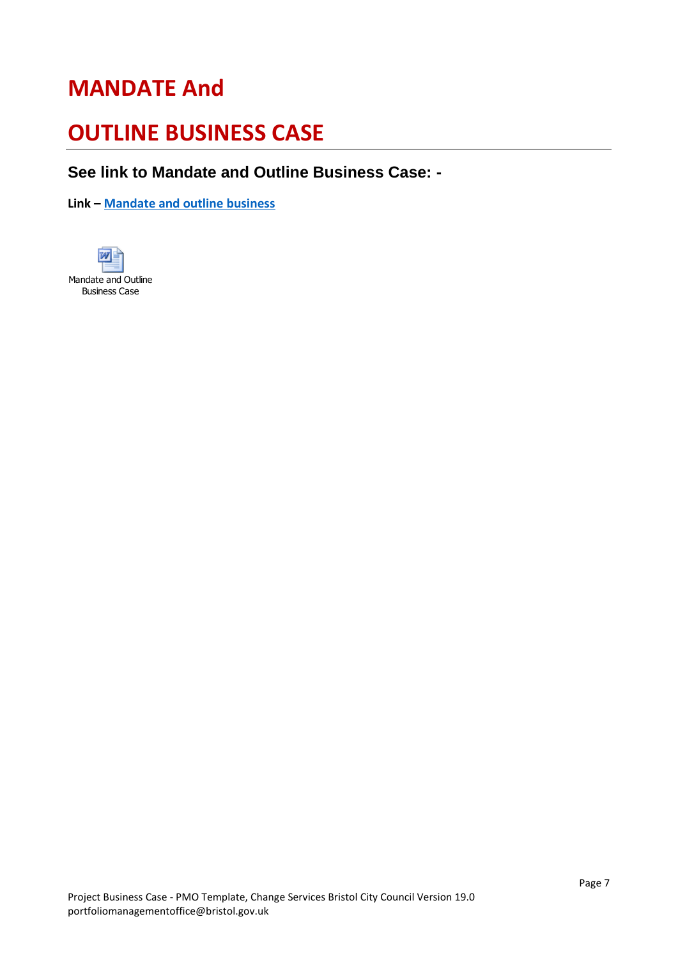# **MANDATE And**

# **OUTLINE BUSINESS CASE**

**See link to Mandate and Outline Business Case: -**

**Link – [Mandate and outline business](https://spprod-pmo.ds.bcc.lan/Projects/bottle-yard-studios/_layouts/15/start.aspx#/SitePages/Home.aspx?RootFolder=%2FProjects%2Fbottle%2Dyard%2Dstudios%2FShared%20Documents%2F1%20Control%2FBusiness%20Case%2FOutline%20Business%20Case&FolderCTID=0x0120001063B4A23752644BA6D4AE927591A044&View=%7BD465F69B%2D85FC%2D4969%2D8DA8%2D7B46ECFB8D1A)**

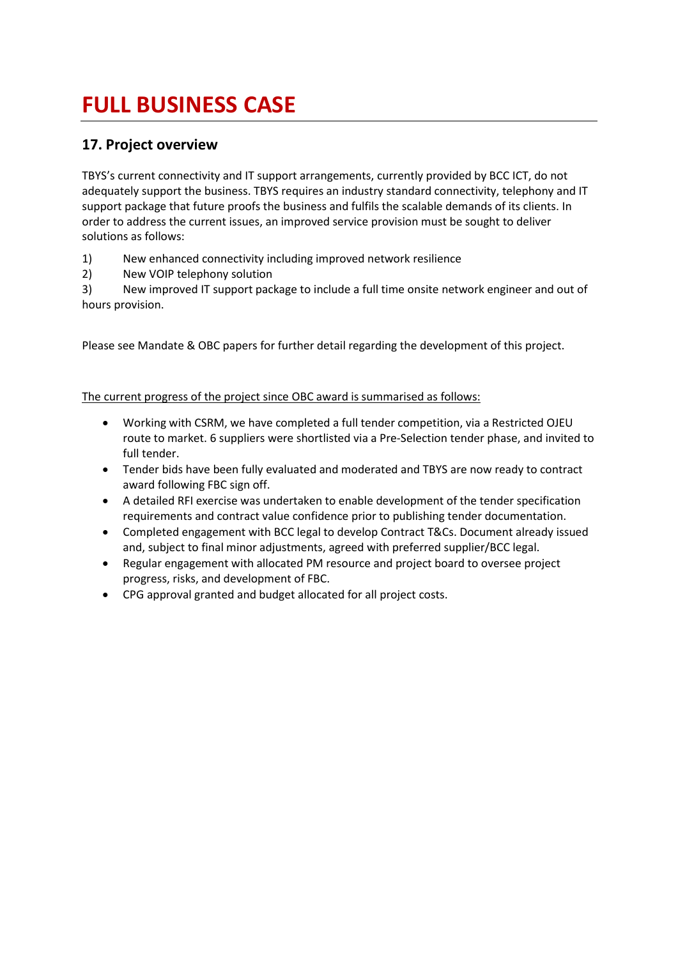# **FULL BUSINESS CASE**

### **17. Project overview**

TBYS's current connectivity and IT support arrangements, currently provided by BCC ICT, do not adequately support the business. TBYS requires an industry standard connectivity, telephony and IT support package that future proofs the business and fulfils the scalable demands of its clients. In order to address the current issues, an improved service provision must be sought to deliver solutions as follows:

- 1) New enhanced connectivity including improved network resilience
- 2) New VOIP telephony solution

3) New improved IT support package to include a full time onsite network engineer and out of hours provision.

Please see Mandate & OBC papers for further detail regarding the development of this project.

The current progress of the project since OBC award is summarised as follows:

- Working with CSRM, we have completed a full tender competition, via a Restricted OJEU route to market. 6 suppliers were shortlisted via a Pre-Selection tender phase, and invited to full tender.
- Tender bids have been fully evaluated and moderated and TBYS are now ready to contract award following FBC sign off.
- A detailed RFI exercise was undertaken to enable development of the tender specification requirements and contract value confidence prior to publishing tender documentation.
- Completed engagement with BCC legal to develop Contract T&Cs. Document already issued and, subject to final minor adjustments, agreed with preferred supplier/BCC legal.
- Regular engagement with allocated PM resource and project board to oversee project progress, risks, and development of FBC.
- CPG approval granted and budget allocated for all project costs.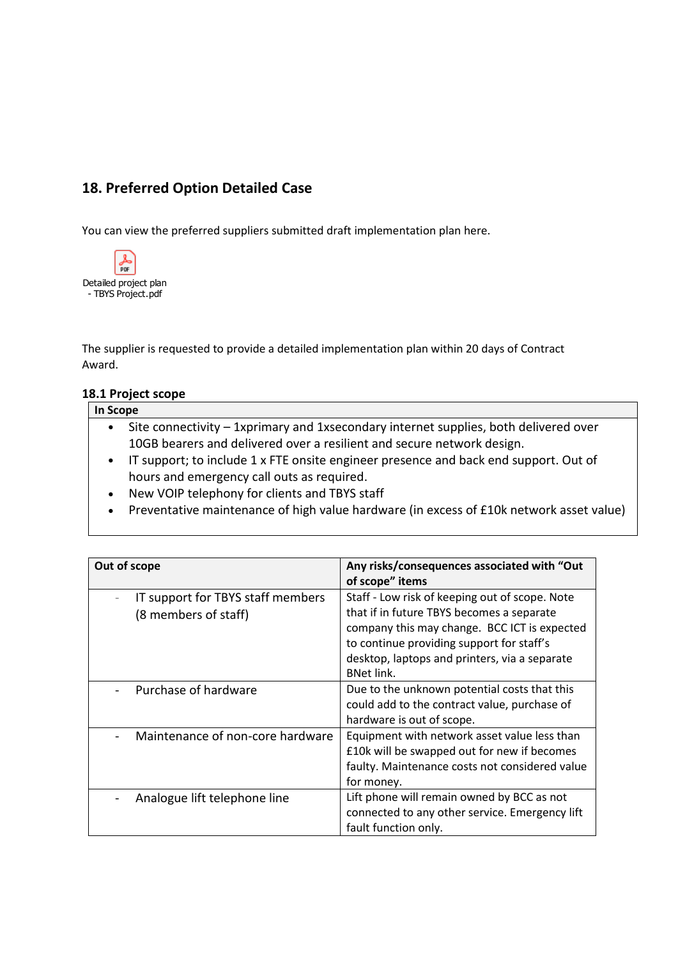# **18. Preferred Option Detailed Case**

You can view the preferred suppliers submitted draft implementation plan [here.](file:///C:/Users/Britmi1/AppData/Local/Microsoft/Windows/Temporary%20Internet%20Files/Full%20tender%20to%20shortlisted/Submitted%20bids/BITC_Appendix%20TS03%20-%20TBYS%20Project%20Plan.pdf)



The supplier is requested to provide a detailed implementation plan within 20 days of Contract Award.

#### **18.1 Project scope**

| In Scope                                                                               |
|----------------------------------------------------------------------------------------|
| Site connectivity – 1xprimary and 1xsecondary internet supplies, both delivered over   |
| 10GB bearers and delivered over a resilient and secure network design.                 |
| • IT support; to include 1 x FTE onsite engineer presence and back end support. Out of |
| hours and emergency call outs as required.                                             |

- New VOIP telephony for clients and TBYS staff
- Preventative maintenance of high value hardware (in excess of £10k network asset value)

| Out of scope                      | Any risks/consequences associated with "Out    |
|-----------------------------------|------------------------------------------------|
|                                   | of scope" items                                |
| IT support for TBYS staff members | Staff - Low risk of keeping out of scope. Note |
| (8 members of staff)              | that if in future TBYS becomes a separate      |
|                                   | company this may change. BCC ICT is expected   |
|                                   | to continue providing support for staff's      |
|                                   | desktop, laptops and printers, via a separate  |
|                                   | <b>BNet link.</b>                              |
| Purchase of hardware              | Due to the unknown potential costs that this   |
|                                   | could add to the contract value, purchase of   |
|                                   | hardware is out of scope.                      |
| Maintenance of non-core hardware  | Equipment with network asset value less than   |
|                                   | £10k will be swapped out for new if becomes    |
|                                   | faulty. Maintenance costs not considered value |
|                                   | for money.                                     |
| Analogue lift telephone line      | Lift phone will remain owned by BCC as not     |
|                                   | connected to any other service. Emergency lift |
|                                   | fault function only.                           |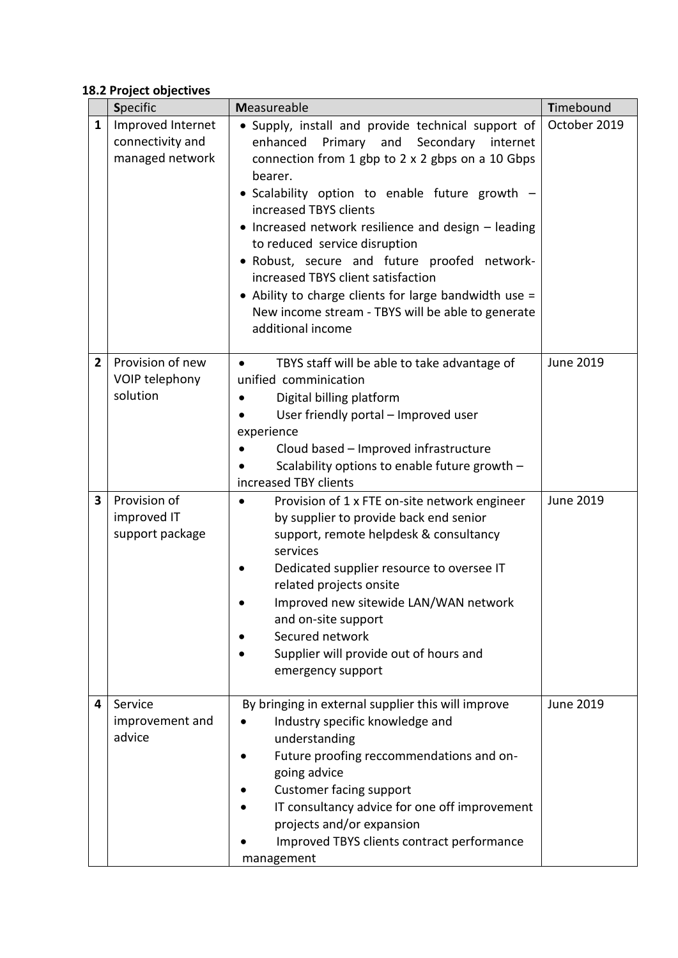#### **18.2 Project objectives**

|                         | <b>Specific</b>                                          | Measureable                                                                                                                                                                                                                                                                                                                                                                                                                                                                                                                                                  | Timebound        |
|-------------------------|----------------------------------------------------------|--------------------------------------------------------------------------------------------------------------------------------------------------------------------------------------------------------------------------------------------------------------------------------------------------------------------------------------------------------------------------------------------------------------------------------------------------------------------------------------------------------------------------------------------------------------|------------------|
| $\mathbf{1}$            | Improved Internet<br>connectivity and<br>managed network | • Supply, install and provide technical support of<br>enhanced Primary and Secondary<br>internet<br>connection from 1 gbp to 2 x 2 gbps on a 10 Gbps<br>bearer.<br>• Scalability option to enable future growth -<br>increased TBYS clients<br>• Increased network resilience and design - leading<br>to reduced service disruption<br>· Robust, secure and future proofed network-<br>increased TBYS client satisfaction<br>• Ability to charge clients for large bandwidth use =<br>New income stream - TBYS will be able to generate<br>additional income | October 2019     |
| $\overline{2}$          | Provision of new<br>VOIP telephony<br>solution           | TBYS staff will be able to take advantage of<br>unified comminication<br>Digital billing platform<br>User friendly portal - Improved user<br>experience<br>Cloud based - Improved infrastructure<br>Scalability options to enable future growth -<br>increased TBY clients                                                                                                                                                                                                                                                                                   | June 2019        |
| $\overline{\mathbf{3}}$ | Provision of<br>improved IT<br>support package           | Provision of 1 x FTE on-site network engineer<br>$\bullet$<br>by supplier to provide back end senior<br>support, remote helpdesk & consultancy<br>services<br>Dedicated supplier resource to oversee IT<br>related projects onsite<br>Improved new sitewide LAN/WAN network<br>and on-site support<br>Secured network<br>Supplier will provide out of hours and<br>emergency support                                                                                                                                                                         | June 2019        |
| 4                       | Service<br>improvement and<br>advice                     | By bringing in external supplier this will improve<br>Industry specific knowledge and<br>understanding<br>Future proofing reccommendations and on-<br>going advice<br><b>Customer facing support</b><br>IT consultancy advice for one off improvement<br>projects and/or expansion<br>Improved TBYS clients contract performance<br>management                                                                                                                                                                                                               | <b>June 2019</b> |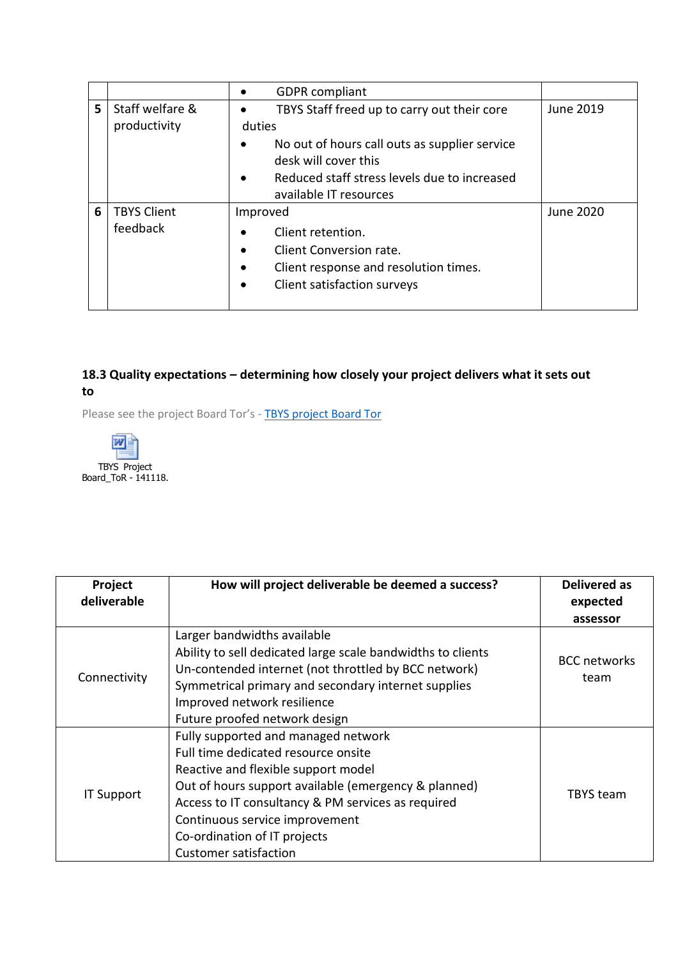|   |                    | <b>GDPR</b> compliant                                     |           |
|---|--------------------|-----------------------------------------------------------|-----------|
| 5 | Staff welfare &    | TBYS Staff freed up to carry out their core<br>$\bullet$  | June 2019 |
|   | productivity       | duties                                                    |           |
|   |                    | No out of hours call outs as supplier service             |           |
|   |                    | desk will cover this                                      |           |
|   |                    | Reduced staff stress levels due to increased<br>$\bullet$ |           |
|   |                    | available IT resources                                    |           |
| 6 | <b>TBYS Client</b> | Improved                                                  | June 2020 |
|   | feedback           | Client retention.                                         |           |
|   |                    | Client Conversion rate.                                   |           |
|   |                    | Client response and resolution times.                     |           |
|   |                    | Client satisfaction surveys                               |           |
|   |                    |                                                           |           |

### **18.3 Quality expectations – determining how closely your project delivers what it sets out to**

Please see the project Board Tor's - [TBYS project Board Tor](https://spprod-pmo.ds.bcc.lan/Projects/bottle-yard-studios/_layouts/15/start.aspx#/SitePages/Home.aspx?RootFolder=%2FProjects%2Fbottle%2Dyard%2Dstudios%2FShared%20Documents%2F2%20Management%2FProject%20Board&FolderCTID=0x0120001063B4A23752644BA6D4AE927591A044&View=%7BD465F69B%2D85FC%2D4969%2D8DA8%2D7B46ECFB8D1A%7D)



| Project<br>deliverable | How will project deliverable be deemed a success?                                                                                                                                                                                                                                                                                 | <b>Delivered as</b><br>expected |
|------------------------|-----------------------------------------------------------------------------------------------------------------------------------------------------------------------------------------------------------------------------------------------------------------------------------------------------------------------------------|---------------------------------|
|                        |                                                                                                                                                                                                                                                                                                                                   | assessor                        |
| Connectivity           | Larger bandwidths available<br>Ability to sell dedicated large scale bandwidths to clients<br>Un-contended internet (not throttled by BCC network)<br>Symmetrical primary and secondary internet supplies<br>Improved network resilience<br>Future proofed network design                                                         | <b>BCC networks</b><br>team     |
| <b>IT Support</b>      | Fully supported and managed network<br>Full time dedicated resource onsite<br>Reactive and flexible support model<br>Out of hours support available (emergency & planned)<br>Access to IT consultancy & PM services as required<br>Continuous service improvement<br>Co-ordination of IT projects<br><b>Customer satisfaction</b> | TBYS team                       |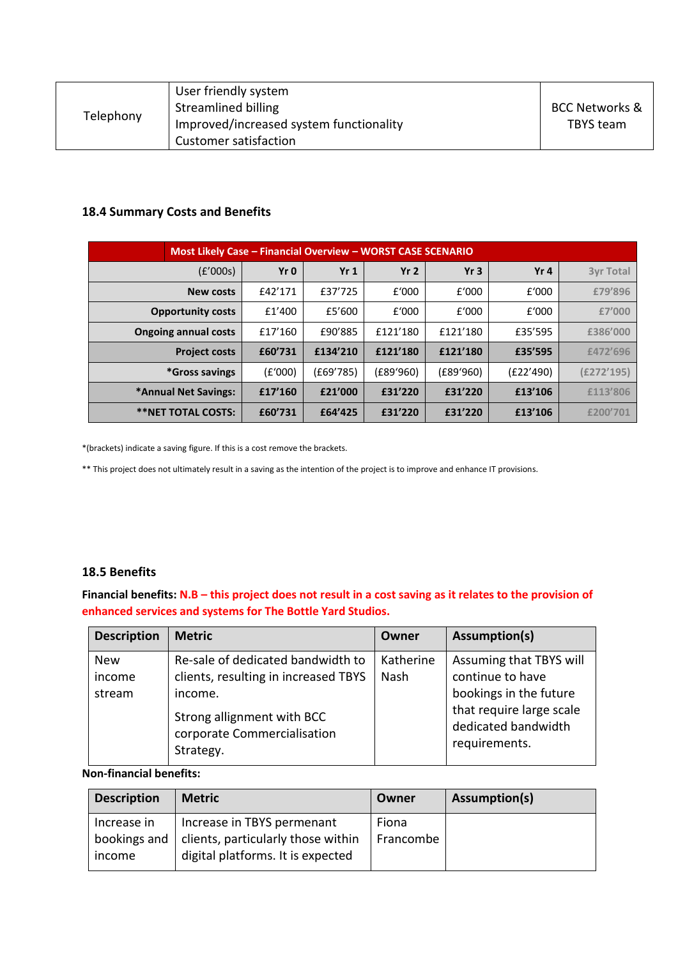|           | User friendly system                    |                           |
|-----------|-----------------------------------------|---------------------------|
|           | <b>Streamlined billing</b>              | <b>BCC Networks &amp;</b> |
| Telephony | Improved/increased system functionality | TBYS team                 |
|           | Customer satisfaction                   |                           |

#### **18.4 Summary Costs and Benefits**

| Most Likely Case - Financial Overview - WORST CASE SCENARIO |         |           |                 |                 |                 |                  |
|-------------------------------------------------------------|---------|-----------|-----------------|-----------------|-----------------|------------------|
| (E'000s)                                                    | Yr0     | Yr1       | Yr <sub>2</sub> | Yr <sub>3</sub> | Yr <sub>4</sub> | <b>3yr Total</b> |
| <b>New costs</b>                                            | £42'171 | £37'725   | £'000           | £'000           | £'000           | £79'896          |
| <b>Opportunity costs</b>                                    | £1'400  | £5'600    | £'000           | £'000           | £'000           | £7'000           |
| <b>Ongoing annual costs</b>                                 | £17'160 | £90'885   | £121'180        | £121'180        | £35'595         | £386'000         |
| <b>Project costs</b>                                        | £60'731 | £134'210  | £121'180        | £121'180        | £35'595         | £472'696         |
| *Gross savings                                              | (E'000) | (E69'785) | (E89'960)       | (E89'960)       | (E22'490)       | (E272'195)       |
| *Annual Net Savings:                                        | £17'160 | £21'000   | £31'220         | £31'220         | £13'106         | £113'806         |
| <b>**NET TOTAL COSTS:</b>                                   | £60'731 | £64'425   | £31'220         | £31'220         | £13'106         | £200'701         |

\*(brackets) indicate a saving figure. If this is a cost remove the brackets.

\*\* This project does not ultimately result in a saving as the intention of the project is to improve and enhance IT provisions.

#### **18.5 Benefits**

**Financial benefits: N.B – this project does not result in a cost saving as it relates to the provision of enhanced services and systems for The Bottle Yard Studios.**

| <b>Description</b>             | <b>Metric</b>                                                                                                                                                  | Owner             | Assumption(s)                                                                                                                             |
|--------------------------------|----------------------------------------------------------------------------------------------------------------------------------------------------------------|-------------------|-------------------------------------------------------------------------------------------------------------------------------------------|
| <b>New</b><br>income<br>stream | Re-sale of dedicated bandwidth to<br>clients, resulting in increased TBYS<br>income.<br>Strong allignment with BCC<br>corporate Commercialisation<br>Strategy. | Katherine<br>Nash | Assuming that TBYS will<br>continue to have<br>bookings in the future<br>that require large scale<br>dedicated bandwidth<br>requirements. |

#### **Non-financial benefits:**

| <b>Description</b>     | <b>Metric</b>                                                           | Owner     | Assumption(s) |
|------------------------|-------------------------------------------------------------------------|-----------|---------------|
| Increase in            | Increase in TBYS permenant                                              | Fiona     |               |
| bookings and<br>income | clients, particularly those within<br>digital platforms. It is expected | Francombe |               |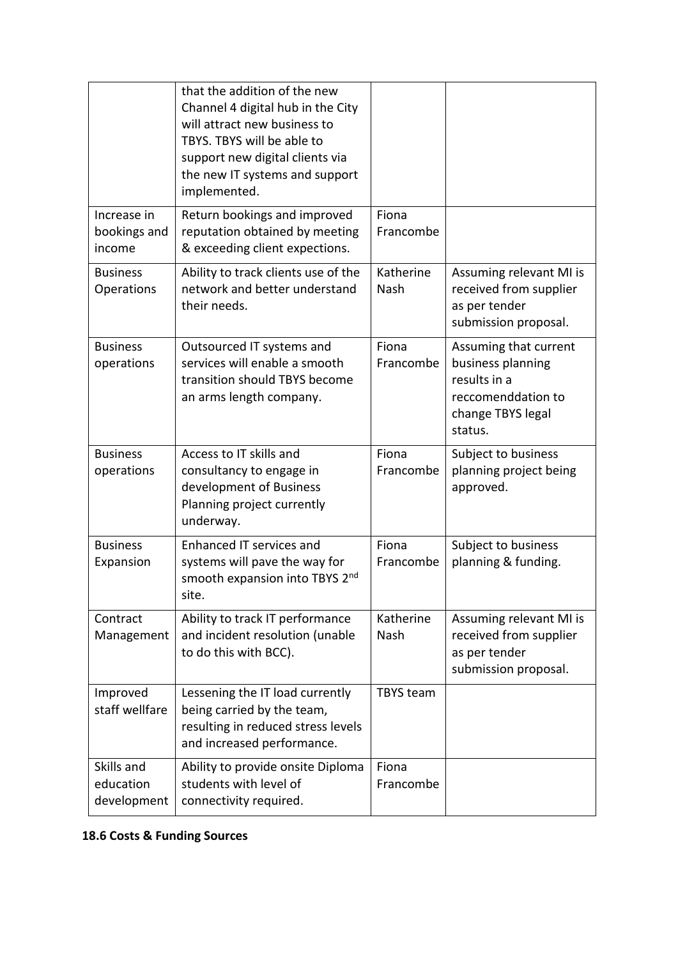|                                       | that the addition of the new<br>Channel 4 digital hub in the City<br>will attract new business to<br>TBYS. TBYS will be able to<br>support new digital clients via<br>the new IT systems and support<br>implemented. |                    |                                                                                                                  |
|---------------------------------------|----------------------------------------------------------------------------------------------------------------------------------------------------------------------------------------------------------------------|--------------------|------------------------------------------------------------------------------------------------------------------|
| Increase in<br>bookings and<br>income | Return bookings and improved<br>reputation obtained by meeting<br>& exceeding client expections.                                                                                                                     | Fiona<br>Francombe |                                                                                                                  |
| <b>Business</b><br>Operations         | Ability to track clients use of the<br>network and better understand<br>their needs.                                                                                                                                 | Katherine<br>Nash  | Assuming relevant MI is<br>received from supplier<br>as per tender<br>submission proposal.                       |
| <b>Business</b><br>operations         | Outsourced IT systems and<br>services will enable a smooth<br>transition should TBYS become<br>an arms length company.                                                                                               | Fiona<br>Francombe | Assuming that current<br>business planning<br>results in a<br>reccomenddation to<br>change TBYS legal<br>status. |
| <b>Business</b><br>operations         | Access to IT skills and<br>consultancy to engage in<br>development of Business<br>Planning project currently<br>underway.                                                                                            | Fiona<br>Francombe | Subject to business<br>planning project being<br>approved.                                                       |
| <b>Business</b><br>Expansion          | Enhanced IT services and<br>systems will pave the way for<br>smooth expansion into TBYS 2nd                                                                                                                          | Fiona<br>Francombe | Subject to business<br>planning & funding.                                                                       |
|                                       | site.                                                                                                                                                                                                                |                    |                                                                                                                  |
| Contract<br>Management                | Ability to track IT performance<br>and incident resolution (unable<br>to do this with BCC).                                                                                                                          | Katherine<br>Nash  | Assuming relevant MI is<br>received from supplier<br>as per tender<br>submission proposal.                       |
| Improved<br>staff wellfare            | Lessening the IT load currently<br>being carried by the team,<br>resulting in reduced stress levels<br>and increased performance.                                                                                    | <b>TBYS</b> team   |                                                                                                                  |

# **18.6 Costs & Funding Sources**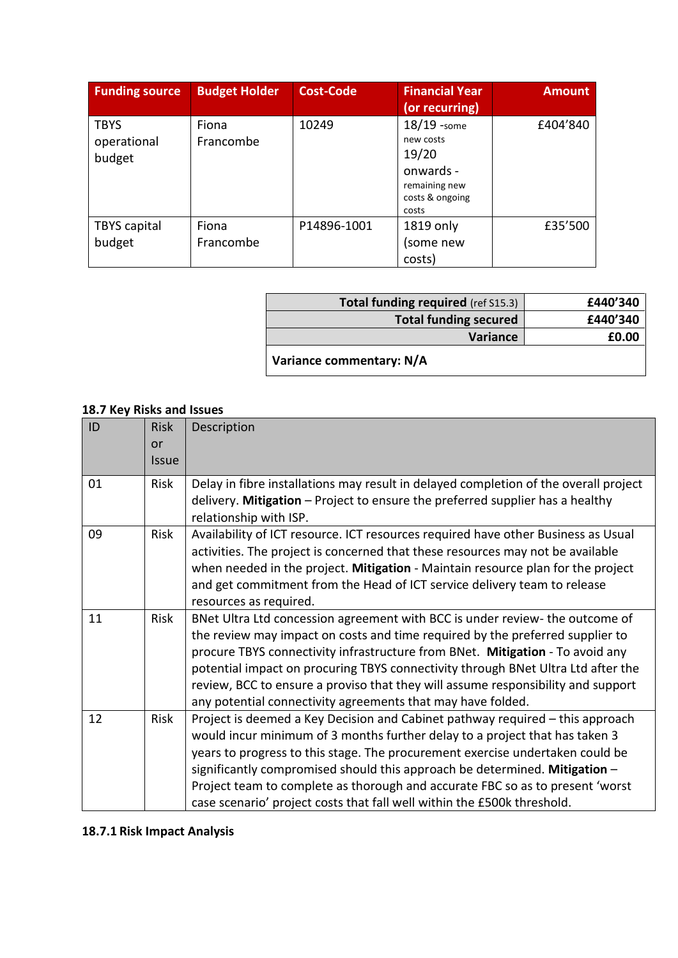| <b>Funding source</b>                | <b>Budget Holder</b> | <b>Cost-Code</b> | <b>Financial Year</b><br>(or recurring)                                                       | <b>Amount</b> |
|--------------------------------------|----------------------|------------------|-----------------------------------------------------------------------------------------------|---------------|
| <b>TBYS</b><br>operational<br>budget | Fiona<br>Francombe   | 10249            | $18/19$ -some<br>new costs<br>19/20<br>onwards -<br>remaining new<br>costs & ongoing<br>costs | £404'840      |
| <b>TBYS</b> capital<br>budget        | Fiona<br>Francombe   | P14896-1001      | 1819 only<br>(some new<br>costs)                                                              | £35'500       |

| <b>Total funding required (ref S15.3)</b> | £440'340 |
|-------------------------------------------|----------|
| <b>Total funding secured</b>              | £440'340 |
| Variance                                  | £0.00    |
| Variance commentary: N/A                  |          |

# **18.7 Key Risks and Issues**

| ID | <b>Risk</b><br>or<br><b>Issue</b> | Description                                                                                                                                                                                                                                                                                                                                                                                                                                                                             |
|----|-----------------------------------|-----------------------------------------------------------------------------------------------------------------------------------------------------------------------------------------------------------------------------------------------------------------------------------------------------------------------------------------------------------------------------------------------------------------------------------------------------------------------------------------|
| 01 | Risk                              | Delay in fibre installations may result in delayed completion of the overall project<br>delivery. Mitigation - Project to ensure the preferred supplier has a healthy<br>relationship with ISP.                                                                                                                                                                                                                                                                                         |
| 09 | Risk                              | Availability of ICT resource. ICT resources required have other Business as Usual<br>activities. The project is concerned that these resources may not be available<br>when needed in the project. Mitigation - Maintain resource plan for the project<br>and get commitment from the Head of ICT service delivery team to release<br>resources as required.                                                                                                                            |
| 11 | Risk                              | BNet Ultra Ltd concession agreement with BCC is under review- the outcome of<br>the review may impact on costs and time required by the preferred supplier to<br>procure TBYS connectivity infrastructure from BNet. Mitigation - To avoid any<br>potential impact on procuring TBYS connectivity through BNet Ultra Ltd after the<br>review, BCC to ensure a proviso that they will assume responsibility and support<br>any potential connectivity agreements that may have folded.   |
| 12 | Risk                              | Project is deemed a Key Decision and Cabinet pathway required – this approach<br>would incur minimum of 3 months further delay to a project that has taken 3<br>years to progress to this stage. The procurement exercise undertaken could be<br>significantly compromised should this approach be determined. Mitigation -<br>Project team to complete as thorough and accurate FBC so as to present 'worst<br>case scenario' project costs that fall well within the £500k threshold. |

# **18.7.1 Risk Impact Analysis**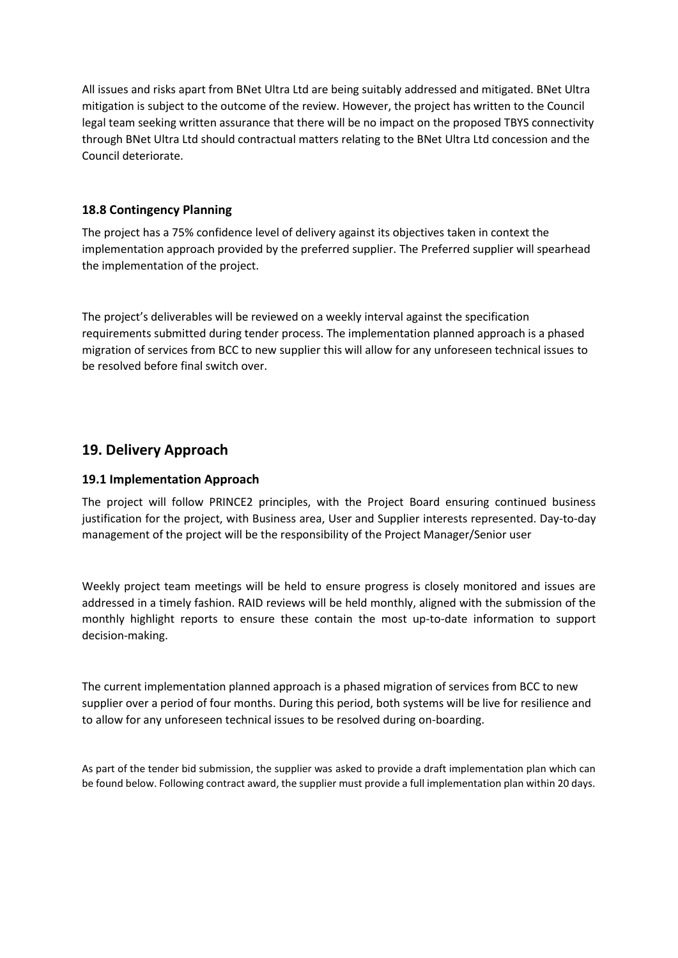All issues and risks apart from BNet Ultra Ltd are being suitably addressed and mitigated. BNet Ultra mitigation is subject to the outcome of the review. However, the project has written to the Council legal team seeking written assurance that there will be no impact on the proposed TBYS connectivity through BNet Ultra Ltd should contractual matters relating to the BNet Ultra Ltd concession and the Council deteriorate.

#### **18.8 Contingency Planning**

The project has a 75% confidence level of delivery against its objectives taken in context the implementation approach provided by the preferred supplier. The Preferred supplier will spearhead the implementation of the project.

The project's deliverables will be reviewed on a weekly interval against the specification requirements submitted during tender process. The implementation planned approach is a phased migration of services from BCC to new supplier this will allow for any unforeseen technical issues to be resolved before final switch over.

### **19. Delivery Approach**

#### **19.1 Implementation Approach**

The project will follow PRINCE2 principles, with the Project Board ensuring continued business justification for the project, with Business area, User and Supplier interests represented. Day-to-day management of the project will be the responsibility of the Project Manager/Senior user

Weekly project team meetings will be held to ensure progress is closely monitored and issues are addressed in a timely fashion. RAID reviews will be held monthly, aligned with the submission of the monthly highlight reports to ensure these contain the most up-to-date information to support decision-making.

The current implementation planned approach is a phased migration of services from BCC to new supplier over a period of four months. During this period, both systems will be live for resilience and to allow for any unforeseen technical issues to be resolved during on-boarding.

As part of the tender bid submission, the supplier was asked to provide a draft implementation plan which can be found below. Following contract award, the supplier must provide a full implementation plan within 20 days.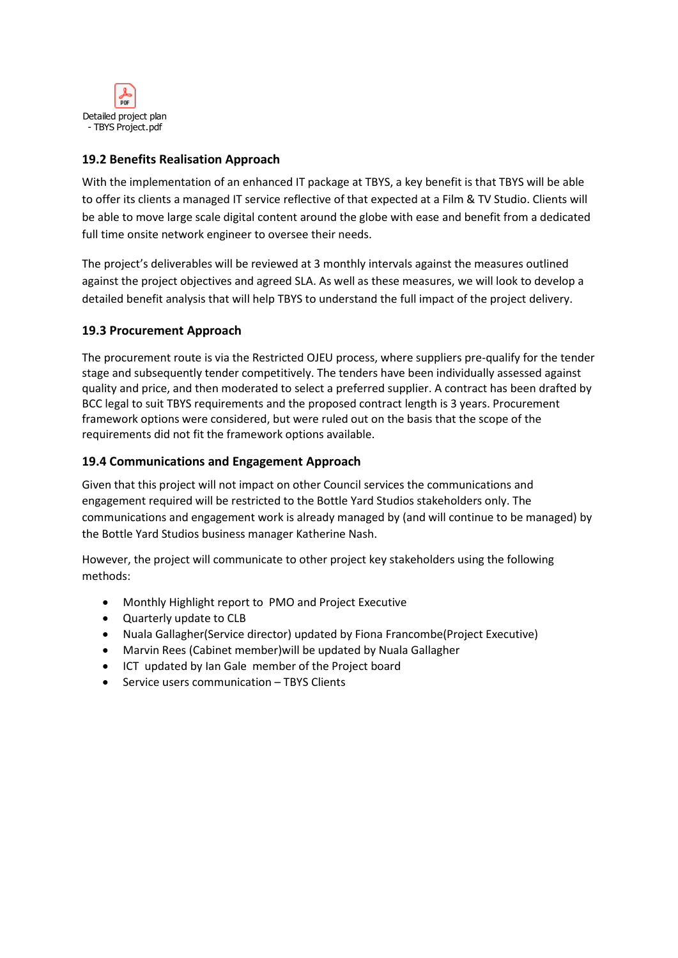

#### **19.2 Benefits Realisation Approach**

With the implementation of an enhanced IT package at TBYS, a key benefit is that TBYS will be able to offer its clients a managed IT service reflective of that expected at a Film & TV Studio. Clients will be able to move large scale digital content around the globe with ease and benefit from a dedicated full time onsite network engineer to oversee their needs.

The project's deliverables will be reviewed at 3 monthly intervals against the measures outlined against the project objectives and agreed SLA. As well as these measures, we will look to develop a detailed benefit analysis that will help TBYS to understand the full impact of the project delivery.

#### **19.3 Procurement Approach**

The procurement route is via the Restricted OJEU process, where suppliers pre-qualify for the tender stage and subsequently tender competitively. The tenders have been individually assessed against quality and price, and then moderated to select a preferred supplier. A contract has been drafted by BCC legal to suit TBYS requirements and the proposed contract length is 3 years. Procurement framework options were considered, but were ruled out on the basis that the scope of the requirements did not fit the framework options available.

#### **19.4 Communications and Engagement Approach**

Given that this project will not impact on other Council services the communications and engagement required will be restricted to the Bottle Yard Studios stakeholders only. The communications and engagement work is already managed by (and will continue to be managed) by the Bottle Yard Studios business manager Katherine Nash.

However, the project will communicate to other project key stakeholders using the following methods:

- Monthly Highlight report to PMO and Project Executive
- Quarterly update to CLB
- Nuala Gallagher(Service director) updated by Fiona Francombe(Project Executive)
- Marvin Rees (Cabinet member)will be updated by Nuala Gallagher
- ICT updated by Ian Gale member of the Project board
- Service users communication TBYS Clients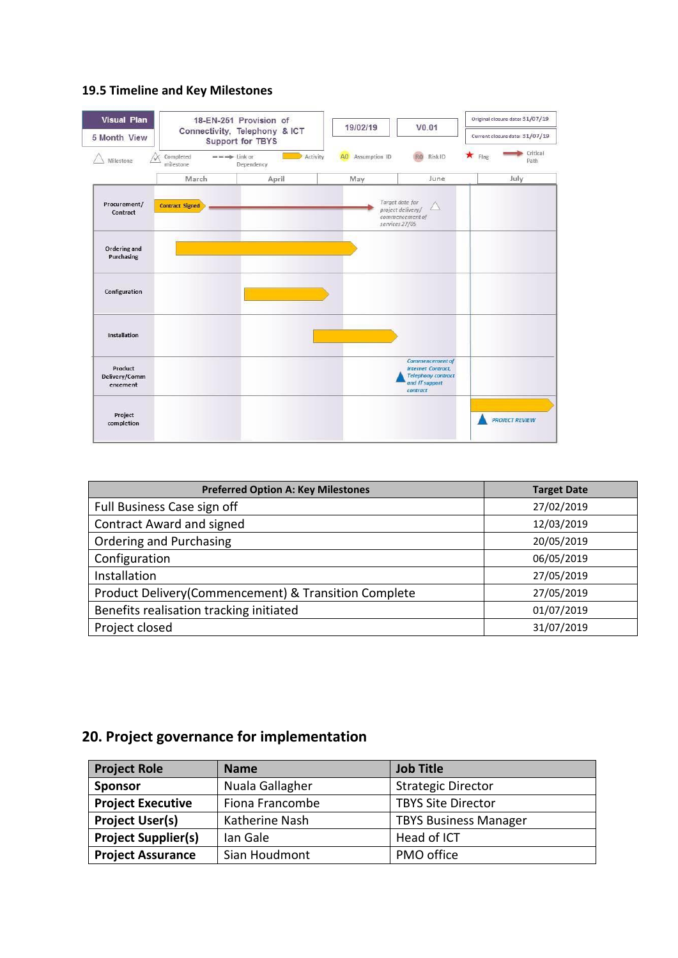

### **19.5 Timeline and Key Milestones**

| <b>Preferred Option A: Key Milestones</b>            | <b>Target Date</b> |
|------------------------------------------------------|--------------------|
| Full Business Case sign off                          | 27/02/2019         |
| <b>Contract Award and signed</b>                     | 12/03/2019         |
| Ordering and Purchasing                              | 20/05/2019         |
| Configuration                                        | 06/05/2019         |
| Installation                                         | 27/05/2019         |
| Product Delivery(Commencement) & Transition Complete | 27/05/2019         |
| Benefits realisation tracking initiated              | 01/07/2019         |
| Project closed                                       | 31/07/2019         |

# **20. Project governance for implementation**

| <b>Project Role</b>        | <b>Name</b>     | <b>Job Title</b>             |
|----------------------------|-----------------|------------------------------|
| <b>Sponsor</b>             | Nuala Gallagher | <b>Strategic Director</b>    |
| <b>Project Executive</b>   | Fiona Francombe | <b>TBYS Site Director</b>    |
| <b>Project User(s)</b>     | Katherine Nash  | <b>TBYS Business Manager</b> |
| <b>Project Supplier(s)</b> | lan Gale        | Head of ICT                  |
| <b>Project Assurance</b>   | Sian Houdmont   | PMO office                   |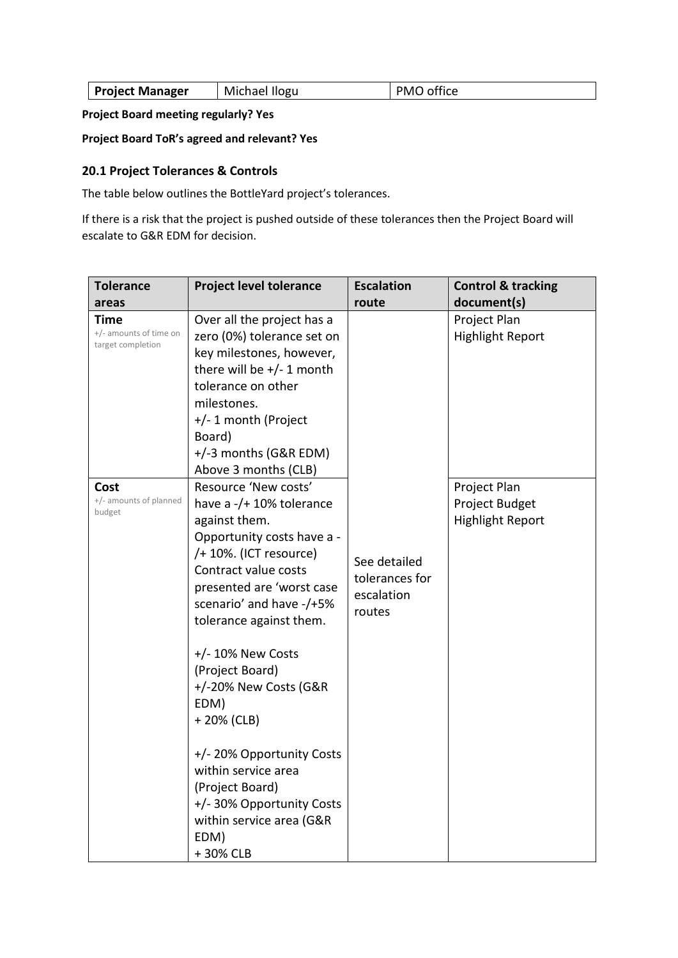| <b>Project Manager</b> | Michael Ilogu | PMO office |
|------------------------|---------------|------------|
|------------------------|---------------|------------|

#### **Project Board meeting regularly? Yes**

#### **Project Board ToR's agreed and relevant? Yes**

#### **20.1 Project Tolerances & Controls**

The table below outlines the BottleYard project's tolerances.

If there is a risk that the project is pushed outside of these tolerances then the Project Board will escalate to G&R EDM for decision.

| <b>Tolerance</b>                                             | <b>Project level tolerance</b>                                                                                                                                                                                                                                                                                                                                                                                                                              | <b>Escalation</b>                                      | <b>Control &amp; tracking</b>                             |
|--------------------------------------------------------------|-------------------------------------------------------------------------------------------------------------------------------------------------------------------------------------------------------------------------------------------------------------------------------------------------------------------------------------------------------------------------------------------------------------------------------------------------------------|--------------------------------------------------------|-----------------------------------------------------------|
| areas<br>Time<br>+/- amounts of time on<br>target completion | Over all the project has a<br>zero (0%) tolerance set on<br>key milestones, however,<br>there will be $+/- 1$ month<br>tolerance on other<br>milestones.<br>+/- 1 month (Project<br>Board)<br>+/-3 months (G&R EDM)<br>Above 3 months (CLB)<br>Resource 'New costs'                                                                                                                                                                                         | route                                                  | document(s)<br>Project Plan<br><b>Highlight Report</b>    |
| Cost<br>+/- amounts of planned<br>budget                     | have a -/+ 10% tolerance<br>against them.<br>Opportunity costs have a -<br>/+ 10%. (ICT resource)<br>Contract value costs<br>presented are 'worst case<br>scenario' and have -/+5%<br>tolerance against them.<br>$+/- 10\%$ New Costs<br>(Project Board)<br>+/-20% New Costs (G&R<br>EDM)<br>$+20%$ (CLB)<br>+/-20% Opportunity Costs<br>within service area<br>(Project Board)<br>+/-30% Opportunity Costs<br>within service area (G&R<br>EDM)<br>+30% CLB | See detailed<br>tolerances for<br>escalation<br>routes | Project Plan<br>Project Budget<br><b>Highlight Report</b> |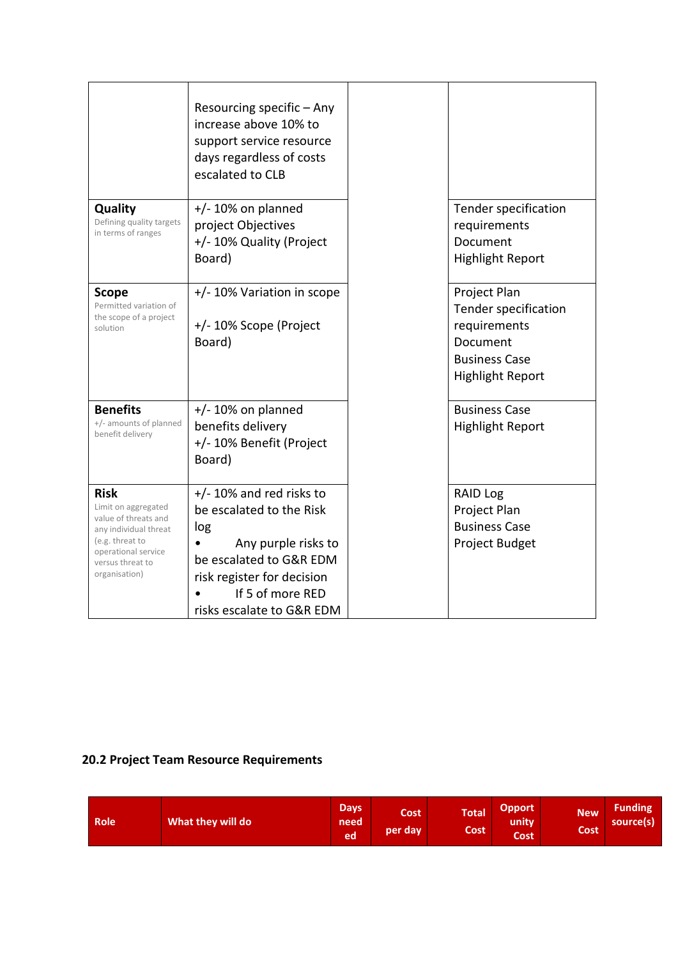|                                                                                                                                                                    | Resourcing specific - Any<br>increase above 10% to<br>support service resource<br>days regardless of costs<br>escalated to CLB                                                                  |                                                                                                                     |
|--------------------------------------------------------------------------------------------------------------------------------------------------------------------|-------------------------------------------------------------------------------------------------------------------------------------------------------------------------------------------------|---------------------------------------------------------------------------------------------------------------------|
| Quality<br>Defining quality targets<br>in terms of ranges                                                                                                          | $+/- 10\%$ on planned<br>project Objectives<br>+/- 10% Quality (Project<br>Board)                                                                                                               | Tender specification<br>requirements<br>Document<br><b>Highlight Report</b>                                         |
| <b>Scope</b><br>Permitted variation of<br>the scope of a project<br>solution                                                                                       | +/-10% Variation in scope<br>+/-10% Scope (Project<br>Board)                                                                                                                                    | Project Plan<br>Tender specification<br>requirements<br>Document<br><b>Business Case</b><br><b>Highlight Report</b> |
| <b>Benefits</b><br>+/- amounts of planned<br>benefit delivery                                                                                                      | $+/- 10\%$ on planned<br>benefits delivery<br>+/- 10% Benefit (Project<br>Board)                                                                                                                | <b>Business Case</b><br><b>Highlight Report</b>                                                                     |
| <b>Risk</b><br>Limit on aggregated<br>value of threats and<br>any individual threat<br>(e.g. threat to<br>operational service<br>versus threat to<br>organisation) | $+/- 10\%$ and red risks to<br>be escalated to the Risk<br>log<br>Any purple risks to<br>be escalated to G&R EDM<br>risk register for decision<br>If 5 of more RED<br>risks escalate to G&R EDM | <b>RAID Log</b><br>Project Plan<br><b>Business Case</b><br>Project Budget                                           |

# **20.2 Project Team Resource Requirements**

| <b>Days</b><br>What they will do<br><b>Role</b><br>need<br>ed | Cost<br>per day | <b>Total</b><br><b>Cost</b> | <b>Opport</b><br>unity<br><b>Cost</b> | <b>New</b><br><b>Cost</b> | <b>Funding</b><br>source(s) |
|---------------------------------------------------------------|-----------------|-----------------------------|---------------------------------------|---------------------------|-----------------------------|
|---------------------------------------------------------------|-----------------|-----------------------------|---------------------------------------|---------------------------|-----------------------------|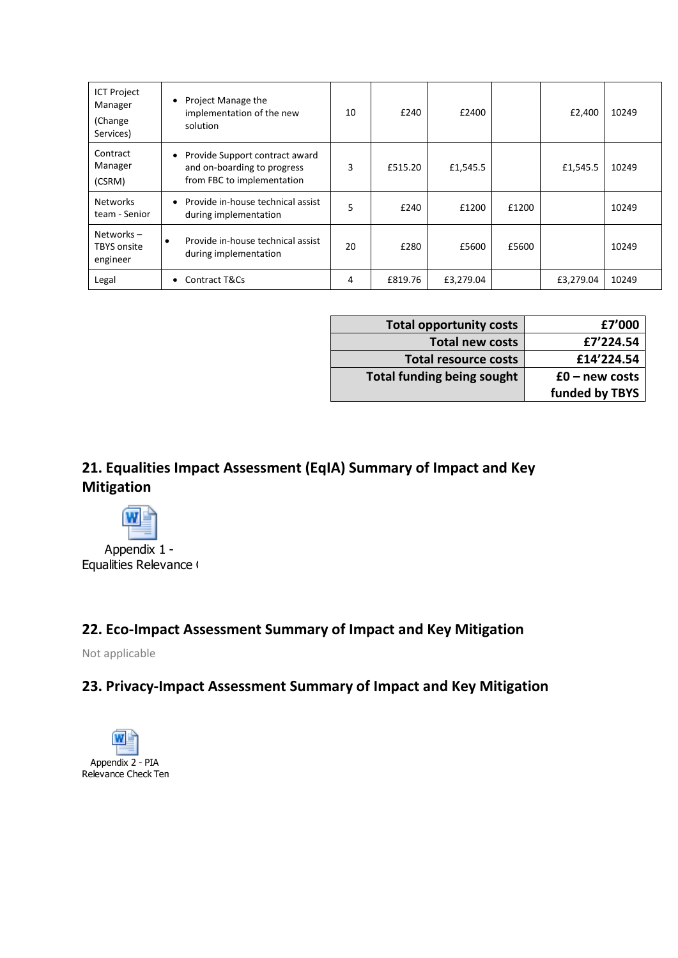| <b>ICT Project</b><br>Manager<br>(Change<br>Services) | Project Manage the<br>$\bullet$<br>implementation of the new<br>solution                                 | 10 | £240    | £2400     |       | £2,400    | 10249 |
|-------------------------------------------------------|----------------------------------------------------------------------------------------------------------|----|---------|-----------|-------|-----------|-------|
| Contract<br>Manager<br>(CSRM)                         | Provide Support contract award<br>$\bullet$<br>and on-boarding to progress<br>from FBC to implementation | 3  | £515.20 | £1,545.5  |       | £1,545.5  | 10249 |
| <b>Networks</b><br>team - Senior                      | Provide in-house technical assist<br>$\bullet$<br>during implementation                                  | 5  | £240    | £1200     | £1200 |           | 10249 |
| Networks $-$<br><b>TBYS onsite</b><br>engineer        | Provide in-house technical assist<br>$\bullet$<br>during implementation                                  | 20 | £280    | £5600     | £5600 |           | 10249 |
| Legal                                                 | <b>Contract T&amp;Cs</b><br>٠                                                                            | 4  | £819.76 | £3,279.04 |       | £3,279.04 | 10249 |

| <b>Total opportunity costs</b>    | £7'000           |
|-----------------------------------|------------------|
| <b>Total new costs</b>            | £7'224.54        |
| <b>Total resource costs</b>       | £14'224.54       |
| <b>Total funding being sought</b> | $£0 - new costs$ |
|                                   | funded by TBYS   |

# **21. Equalities Impact Assessment (EqIA) Summary of Impact and Key Mitigation**



Appendix 1 - Equalities Relevance +

# **22. Eco-Impact Assessment Summary of Impact and Key Mitigation**

Not applicable

# **23. Privacy-Impact Assessment Summary of Impact and Key Mitigation**

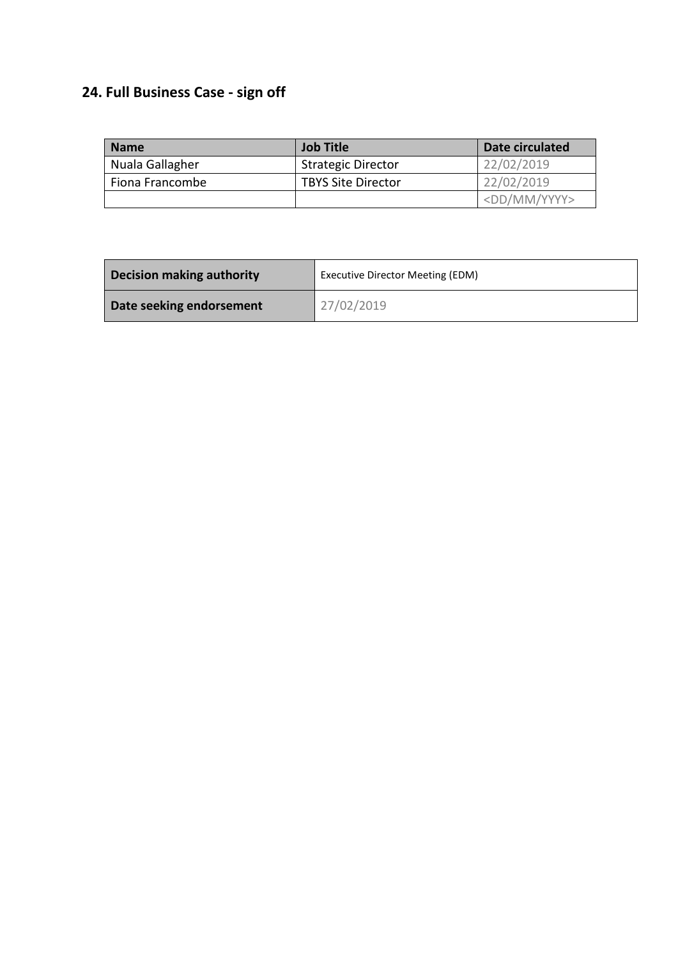# **24. Full Business Case - sign off**

| <b>Name</b>     | <b>Job Title</b>          | Date circulated         |
|-----------------|---------------------------|-------------------------|
| Nuala Gallagher | <b>Strategic Director</b> | 22/02/2019              |
| Fiona Francombe | <b>TBYS Site Director</b> | 22/02/2019              |
|                 |                           | <dd mm="" yyyy=""></dd> |

| Decision making authority | Executive Director Meeting (EDM) |
|---------------------------|----------------------------------|
| Date seeking endorsement  | 27/02/2019                       |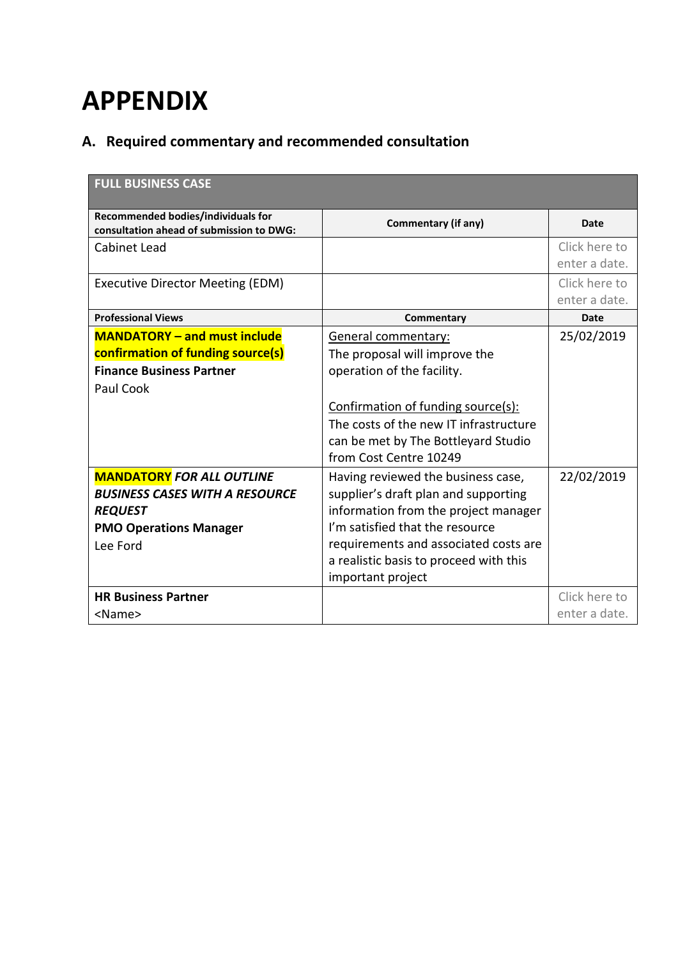# **APPENDIX**

# **A. Required commentary and recommended consultation**

| <b>FULL BUSINESS CASE</b>                                                      |                                        |               |
|--------------------------------------------------------------------------------|----------------------------------------|---------------|
|                                                                                |                                        |               |
| Recommended bodies/individuals for<br>consultation ahead of submission to DWG: | <b>Commentary (if any)</b>             | Date          |
| <b>Cabinet Lead</b>                                                            |                                        | Click here to |
|                                                                                |                                        | enter a date. |
| <b>Executive Director Meeting (EDM)</b>                                        |                                        | Click here to |
|                                                                                |                                        | enter a date. |
| <b>Professional Views</b>                                                      | Commentary                             | <b>Date</b>   |
| <b>MANDATORY - and must include</b>                                            | General commentary:                    | 25/02/2019    |
| confirmation of funding source(s)                                              | The proposal will improve the          |               |
| <b>Finance Business Partner</b>                                                | operation of the facility.             |               |
| Paul Cook                                                                      |                                        |               |
|                                                                                | Confirmation of funding source(s):     |               |
|                                                                                | The costs of the new IT infrastructure |               |
|                                                                                | can be met by The Bottleyard Studio    |               |
|                                                                                | from Cost Centre 10249                 |               |
| <b>MANDATORY FOR ALL OUTLINE</b>                                               | Having reviewed the business case,     | 22/02/2019    |
| <b>BUSINESS CASES WITH A RESOURCE</b>                                          | supplier's draft plan and supporting   |               |
| <b>REQUEST</b>                                                                 | information from the project manager   |               |
| <b>PMO Operations Manager</b>                                                  | I'm satisfied that the resource        |               |
| Lee Ford                                                                       | requirements and associated costs are  |               |
|                                                                                | a realistic basis to proceed with this |               |
|                                                                                | important project                      |               |
| <b>HR Business Partner</b>                                                     |                                        | Click here to |
| <name></name>                                                                  |                                        | enter a date. |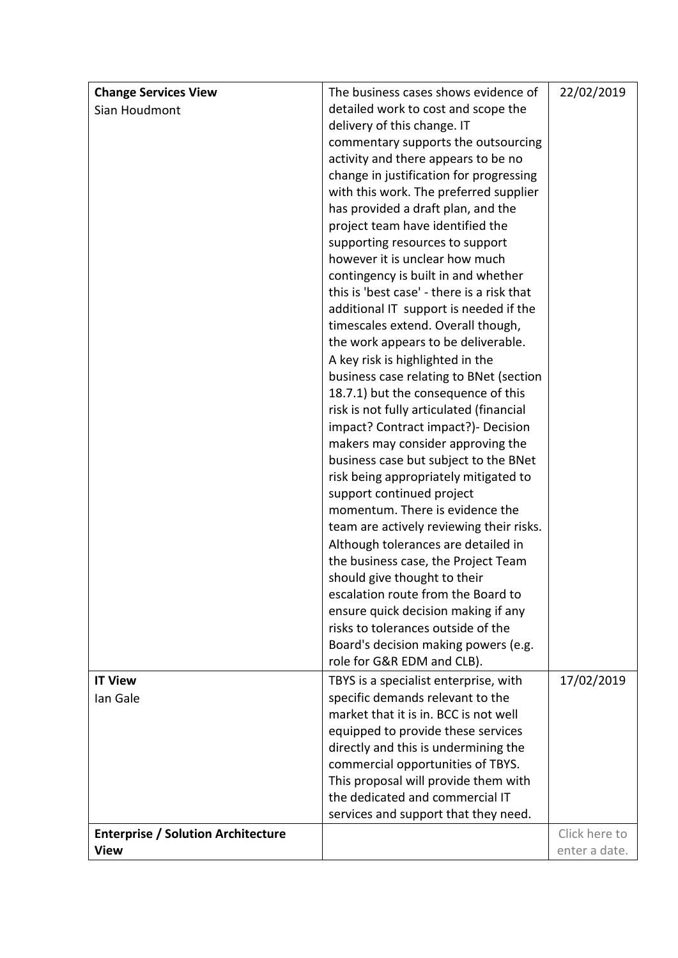| <b>Change Services View</b>               | The business cases shows evidence of       | 22/02/2019    |
|-------------------------------------------|--------------------------------------------|---------------|
| Sian Houdmont                             | detailed work to cost and scope the        |               |
|                                           | delivery of this change. IT                |               |
|                                           | commentary supports the outsourcing        |               |
|                                           | activity and there appears to be no        |               |
|                                           | change in justification for progressing    |               |
|                                           | with this work. The preferred supplier     |               |
|                                           | has provided a draft plan, and the         |               |
|                                           | project team have identified the           |               |
|                                           | supporting resources to support            |               |
|                                           | however it is unclear how much             |               |
|                                           | contingency is built in and whether        |               |
|                                           | this is 'best case' - there is a risk that |               |
|                                           | additional IT support is needed if the     |               |
|                                           | timescales extend. Overall though,         |               |
|                                           | the work appears to be deliverable.        |               |
|                                           | A key risk is highlighted in the           |               |
|                                           | business case relating to BNet (section    |               |
|                                           | 18.7.1) but the consequence of this        |               |
|                                           | risk is not fully articulated (financial   |               |
|                                           | impact? Contract impact?) - Decision       |               |
|                                           | makers may consider approving the          |               |
|                                           | business case but subject to the BNet      |               |
|                                           | risk being appropriately mitigated to      |               |
|                                           | support continued project                  |               |
|                                           | momentum. There is evidence the            |               |
|                                           | team are actively reviewing their risks.   |               |
|                                           | Although tolerances are detailed in        |               |
|                                           | the business case, the Project Team        |               |
|                                           | should give thought to their               |               |
|                                           | escalation route from the Board to         |               |
|                                           | ensure quick decision making if any        |               |
|                                           | risks to tolerances outside of the         |               |
|                                           | Board's decision making powers (e.g.       |               |
|                                           | role for G&R EDM and CLB).                 |               |
| <b>IT View</b>                            | TBYS is a specialist enterprise, with      | 17/02/2019    |
| lan Gale                                  | specific demands relevant to the           |               |
|                                           | market that it is in. BCC is not well      |               |
|                                           | equipped to provide these services         |               |
|                                           | directly and this is undermining the       |               |
|                                           | commercial opportunities of TBYS.          |               |
|                                           | This proposal will provide them with       |               |
|                                           | the dedicated and commercial IT            |               |
|                                           | services and support that they need.       |               |
| <b>Enterprise / Solution Architecture</b> |                                            | Click here to |
| <b>View</b>                               |                                            | enter a date. |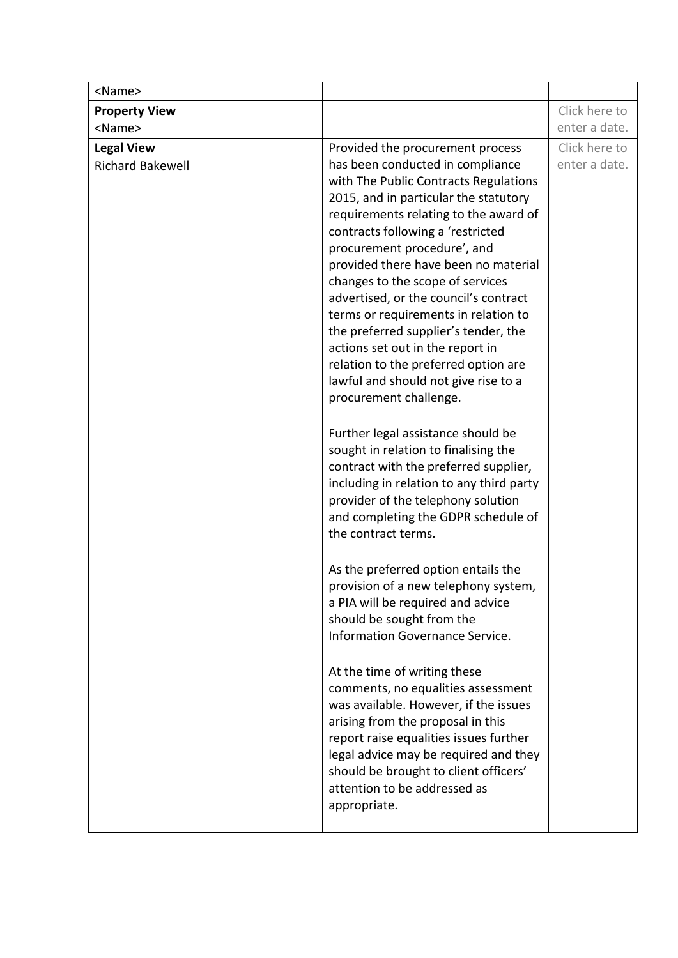| Click here to<br><b>Property View</b><br>enter a date.<br><name><br/>Click here to<br/><b>Legal View</b><br/>Provided the procurement process<br/>has been conducted in compliance<br/>enter a date.<br/><b>Richard Bakewell</b><br/>with The Public Contracts Regulations</name>                                                                                                                                                                                                                                                                                                                                                                                                                                                                                                                                                                                                                                                                                                                                                                                                                                                                                                                                                                                                                |  |
|--------------------------------------------------------------------------------------------------------------------------------------------------------------------------------------------------------------------------------------------------------------------------------------------------------------------------------------------------------------------------------------------------------------------------------------------------------------------------------------------------------------------------------------------------------------------------------------------------------------------------------------------------------------------------------------------------------------------------------------------------------------------------------------------------------------------------------------------------------------------------------------------------------------------------------------------------------------------------------------------------------------------------------------------------------------------------------------------------------------------------------------------------------------------------------------------------------------------------------------------------------------------------------------------------|--|
|                                                                                                                                                                                                                                                                                                                                                                                                                                                                                                                                                                                                                                                                                                                                                                                                                                                                                                                                                                                                                                                                                                                                                                                                                                                                                                  |  |
|                                                                                                                                                                                                                                                                                                                                                                                                                                                                                                                                                                                                                                                                                                                                                                                                                                                                                                                                                                                                                                                                                                                                                                                                                                                                                                  |  |
| 2015, and in particular the statutory<br>requirements relating to the award of<br>contracts following a 'restricted<br>procurement procedure', and<br>provided there have been no material<br>changes to the scope of services<br>advertised, or the council's contract<br>terms or requirements in relation to<br>the preferred supplier's tender, the<br>actions set out in the report in<br>relation to the preferred option are<br>lawful and should not give rise to a<br>procurement challenge.<br>Further legal assistance should be<br>sought in relation to finalising the<br>contract with the preferred supplier,<br>including in relation to any third party<br>provider of the telephony solution<br>and completing the GDPR schedule of<br>the contract terms.<br>As the preferred option entails the<br>provision of a new telephony system,<br>a PIA will be required and advice<br>should be sought from the<br>Information Governance Service.<br>At the time of writing these<br>comments, no equalities assessment<br>was available. However, if the issues<br>arising from the proposal in this<br>report raise equalities issues further<br>legal advice may be required and they<br>should be brought to client officers'<br>attention to be addressed as<br>appropriate. |  |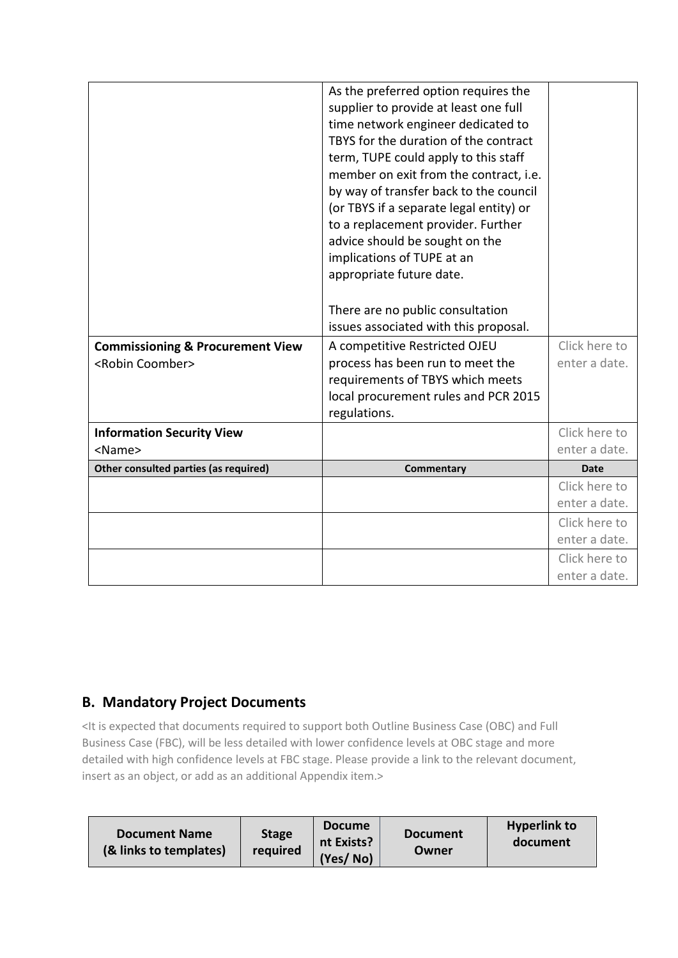|                                             | As the preferred option requires the    |               |
|---------------------------------------------|-----------------------------------------|---------------|
|                                             | supplier to provide at least one full   |               |
|                                             | time network engineer dedicated to      |               |
|                                             | TBYS for the duration of the contract   |               |
|                                             | term, TUPE could apply to this staff    |               |
|                                             | member on exit from the contract, i.e.  |               |
|                                             | by way of transfer back to the council  |               |
|                                             | (or TBYS if a separate legal entity) or |               |
|                                             | to a replacement provider. Further      |               |
|                                             | advice should be sought on the          |               |
|                                             | implications of TUPE at an              |               |
|                                             | appropriate future date.                |               |
|                                             |                                         |               |
|                                             | There are no public consultation        |               |
|                                             | issues associated with this proposal.   |               |
| <b>Commissioning &amp; Procurement View</b> | A competitive Restricted OJEU           | Click here to |
| <robin coomber=""></robin>                  | process has been run to meet the        | enter a date. |
|                                             | requirements of TBYS which meets        |               |
|                                             | local procurement rules and PCR 2015    |               |
|                                             |                                         |               |
|                                             | regulations.                            |               |
| <b>Information Security View</b>            |                                         | Click here to |
| <name></name>                               |                                         | enter a date. |
| Other consulted parties (as required)       | Commentary                              | <b>Date</b>   |
|                                             |                                         | Click here to |
|                                             |                                         | enter a date. |
|                                             |                                         | Click here to |
|                                             |                                         | enter a date. |
|                                             |                                         | Click here to |

### **B. Mandatory Project Documents**

<It is expected that documents required to support both Outline Business Case (OBC) and Full Business Case (FBC), will be less detailed with lower confidence levels at OBC stage and more detailed with high confidence levels at FBC stage. Please provide a link to the relevant document, insert as an object, or add as an additional Appendix item.>

| <b>Document Name</b><br>(& links to templates) | <b>Docume</b><br><b>Stage</b><br>nt Exists?<br>required<br>(Yes/No) | <b>Document</b><br>Owner | <b>Hyperlink to</b><br>document |
|------------------------------------------------|---------------------------------------------------------------------|--------------------------|---------------------------------|
|------------------------------------------------|---------------------------------------------------------------------|--------------------------|---------------------------------|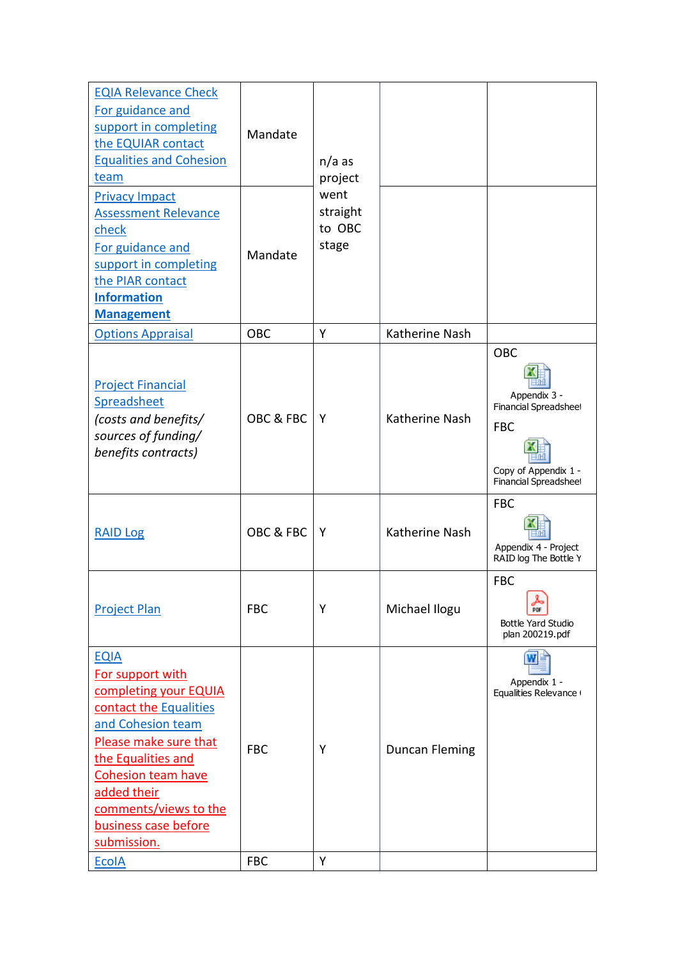| <b>EQIA Relevance Check</b>             |            |                 |                       |                                               |  |
|-----------------------------------------|------------|-----------------|-----------------------|-----------------------------------------------|--|
| For guidance and                        |            |                 |                       |                                               |  |
| support in completing                   |            |                 |                       |                                               |  |
| the EQUIAR contact                      | Mandate    |                 |                       |                                               |  |
| <b>Equalities and Cohesion</b>          |            |                 |                       |                                               |  |
| team                                    |            | $n/a$ as        |                       |                                               |  |
|                                         |            | project<br>went |                       |                                               |  |
| <b>Privacy Impact</b>                   |            | straight        |                       |                                               |  |
| <b>Assessment Relevance</b>             |            | to OBC          |                       |                                               |  |
| check                                   |            | stage           |                       |                                               |  |
| For guidance and                        | Mandate    |                 |                       |                                               |  |
| support in completing                   |            |                 |                       |                                               |  |
| the PIAR contact                        |            |                 |                       |                                               |  |
| <b>Information</b>                      |            |                 |                       |                                               |  |
| <b>Management</b>                       |            |                 |                       |                                               |  |
| <b>Options Appraisal</b>                | <b>OBC</b> | Υ               | Katherine Nash        |                                               |  |
| <b>Project Financial</b><br>Spreadsheet |            |                 |                       | <b>OBC</b><br>Appendix 3 -                    |  |
| (costs and benefits/                    | OBC & FBC  | Υ               | Katherine Nash        | Financial Spreadsheet                         |  |
| sources of funding/                     |            |                 |                       | <b>FBC</b>                                    |  |
| benefits contracts)                     |            |                 |                       |                                               |  |
|                                         |            |                 |                       | Copy of Appendix 1 -                          |  |
|                                         |            |                 |                       | Financial Spreadsheet                         |  |
|                                         |            |                 |                       | <b>FBC</b>                                    |  |
|                                         |            |                 |                       |                                               |  |
| <b>RAID Log</b>                         | OBC & FBC  | Y               | Katherine Nash        |                                               |  |
|                                         |            |                 |                       | Appendix 4 - Project<br>RAID log The Bottle Y |  |
|                                         |            |                 |                       |                                               |  |
|                                         |            |                 |                       | <b>FBC</b>                                    |  |
| <b>Project Plan</b>                     | <b>FBC</b> | Υ               | Michael Ilogu         | $\frac{1}{\pi}$                               |  |
|                                         |            |                 |                       | <b>Bottle Yard Studio</b>                     |  |
|                                         |            |                 |                       | plan 200219.pdf                               |  |
| <b>EQIA</b>                             |            |                 |                       | WE                                            |  |
| For support with                        |            |                 |                       | Appendix 1 -                                  |  |
| completing your EQUIA                   |            |                 |                       | Equalities Relevance                          |  |
| contact the Equalities                  |            |                 |                       |                                               |  |
| and Cohesion team                       |            |                 |                       |                                               |  |
| Please make sure that                   | <b>FBC</b> | Υ               | <b>Duncan Fleming</b> |                                               |  |
| the Equalities and                      |            |                 |                       |                                               |  |
| Cohesion team have                      |            |                 |                       |                                               |  |
| added their                             |            |                 |                       |                                               |  |
| comments/views to the                   |            |                 |                       |                                               |  |
| business case before                    |            |                 |                       |                                               |  |
| submission.                             |            |                 |                       |                                               |  |
| <b>EcolA</b>                            | <b>FBC</b> | Υ               |                       |                                               |  |